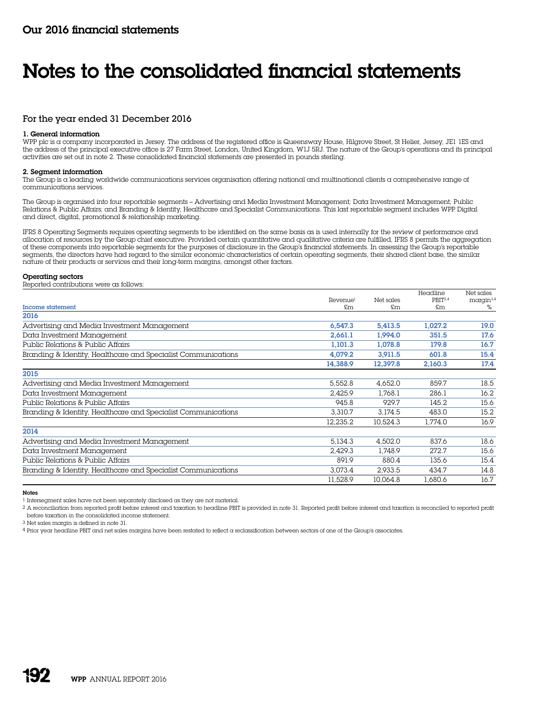# For the year ended 31 December 2016

# 1. General information

WPP plc is a company incorporated in Jersey. The address of the registered office is Queensway House, Hilgrove Street, St Helier, Jersey, JE1 1ES and the address of the principal executive office is 27 Farm Street, London, United Kingdom, W1J 5RJ. The nature of the Group's operations and its principal activities are set out in note 2. These consolidated financial statements are presented in pounds sterling.

# 2. Segment information

The Group is a leading worldwide communications services organisation offering national and multinational clients a comprehensive range of communications services.

The Group is organised into four reportable segments – Advertising and Media Investment Management; Data Investment Management; Public Relations & Public Affairs; and Branding & Identity, Healthcare and Specialist Communications. This last reportable segment includes WPP Digital and direct, digital, promotional & relationship marketing.

IFRS 8 Operating Segments requires operating segments to be identified on the same basis as is used internally for the review of performance and allocation of resources by the Group chief executive. Provided certain quantitative and qualitative criteria are fulfilled, IFRS 8 permits the aggregation of these components into reportable segments for the purposes of disclosure in the Group's financial statements. In assessing the Group's reportable segments, the directors have had regard to the similar economic characteristics of certain operating segments, their shared client base, the similar nature of their products or services and their long-term margins, amongst other factors.

# Operating sectors

Reported contributions were as follows:

|                                                               |                      |           | Headline            | Net sales             |
|---------------------------------------------------------------|----------------------|-----------|---------------------|-----------------------|
|                                                               | Revenue <sup>1</sup> | Net sales | PBIT <sup>2,4</sup> | margin <sup>3,4</sup> |
| <b>Income statement</b>                                       | £m                   | \$m\$     | $\mathfrak{m}$      | %                     |
| 2016                                                          |                      |           |                     |                       |
| Advertising and Media Investment Management                   | 6,547.3              | 5,413.5   | 1,027.2             | 19.0                  |
| Data Investment Management                                    | 2,661.1              | 1.994.0   | 351.5               | 17.6                  |
| Public Relations & Public Affairs                             | 1.101.3              | 1.078.8   | 179.8               | 16.7                  |
| Branding & Identity, Healthcare and Specialist Communications | 4.079.2              | 3.911.5   | 601.8               | 15.4                  |
|                                                               | 14.388.9             | 12,397.8  | 2,160.3             | 17.4                  |
| 2015                                                          |                      |           |                     |                       |
| Advertising and Media Investment Management                   | 5,552.8              | 4,652.0   | 859.7               | 18.5                  |
| Data Investment Management                                    | 2,425.9              | 1.768.1   | 286.1               | 16.2                  |
| Public Relations & Public Affairs                             | 945.8                | 929.7     | 145.2               | 15.6                  |
| Branding & Identity, Healthcare and Specialist Communications | 3.310.7              | 3.174.5   | 483.0               | 15.2                  |
|                                                               | 12.235.2             | 10.524.3  | 1.774.0             | 16.9                  |
| 2014                                                          |                      |           |                     |                       |
| Advertising and Media Investment Management                   | 5,134.3              | 4.502.0   | 837.6               | 18.6                  |
| Data Investment Management                                    | 2,429.3              | 1.748.9   | 272.7               | 15.6                  |
| Public Relations & Public Affairs                             | 891.9                | 880.4     | 135.6               | 15.4                  |
| Branding & Identity, Healthcare and Specialist Communications | 3.073.4              | 2.933.5   | 434.7               | 14.8                  |
|                                                               | 11,528.9             | 10.064.8  | 1,680.6             | 16.7                  |

Notes

1 Intersegment sales have not been separately disclosed as they are not material.

2 A reconciliation from reported profit before interest and taxation to headline PBIT is provided in note 31. Reported profit before interest and taxation is reconciled to reported profit before taxation in the consolidated income statement.

3 Net sales margin is defined in note 31.

4 Prior year headline PBIT and net sales margins have been restated to reflect a reclassification between sectors of one of the Group's associates.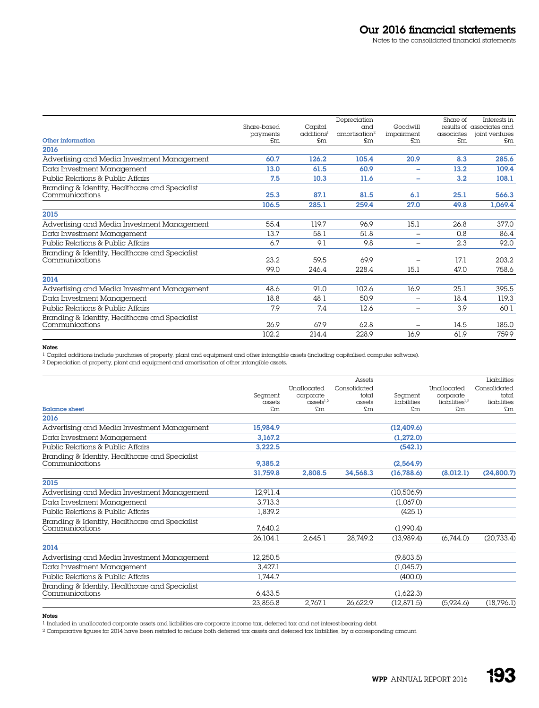|                                                |             |                        | Depreciation              |                          | Share of   | Interests in              |
|------------------------------------------------|-------------|------------------------|---------------------------|--------------------------|------------|---------------------------|
|                                                | Share-based | Capital                | and                       | Goodwill                 |            | results of associates and |
|                                                | payments    | additions <sup>1</sup> | amortisation <sup>2</sup> | impairment               | associates | joint ventures            |
| Other information                              | £m          | £m                     | £m                        | $\mathsf{fm}$            | \$m\$      | £m                        |
| 2016                                           |             |                        |                           |                          |            |                           |
| Advertising and Media Investment Management    | 60.7        | 126.2                  | 105.4                     | 20.9                     | 8.3        | 285.6                     |
| Data Investment Management                     | 13.0        | 61.5                   | 60.9                      | -                        | 13.2       | 109.4                     |
| Public Relations & Public Affairs              | 7.5         | 10.3                   | 11.6                      | $\overline{\phantom{0}}$ | 3.2        | 108.1                     |
| Branding & Identity, Healthcare and Specialist |             |                        |                           |                          |            |                           |
| Communications                                 | 25.3        | 87.1                   | 81.5                      | 6.1                      | 25.1       | 566.3                     |
|                                                | 106.5       | 285.1                  | 259.4                     | 27.0                     | 49.8       | 1,069.4                   |
| 2015                                           |             |                        |                           |                          |            |                           |
| Advertising and Media Investment Management    | 55.4        | 119.7                  | 96.9                      | 15.1                     | 26.8       | 377.0                     |
| Data Investment Management                     | 13.7        | 58.1                   | 51.8                      | $\overline{\phantom{0}}$ | 0.8        | 86.4                      |
| Public Relations & Public Affairs              | 6.7         | 9.1                    | 9.8                       | $\overline{\phantom{0}}$ | 2.3        | 92.0                      |
| Branding & Identity, Healthcare and Specialist |             |                        |                           |                          |            |                           |
| Communications                                 | 23.2        | 59.5                   | 69.9                      | $\overline{\phantom{0}}$ | 17.1       | 203.2                     |
|                                                | 99.0        | 246.4                  | 228.4                     | 15.1                     | 47.0       | 758.6                     |
| 2014                                           |             |                        |                           |                          |            |                           |
| Advertising and Media Investment Management    | 48.6        | 91.0                   | 102.6                     | 16.9                     | 25.1       | 395.5                     |
| Data Investment Management                     | 18.8        | 48.1                   | 50.9                      | $\overline{\phantom{m}}$ | 18.4       | 119.3                     |
| Public Relations & Public Affairs              | 7.9         | 7.4                    | 12.6                      | $\overline{\phantom{0}}$ | 3.9        | 60.1                      |
| Branding & Identity, Healthcare and Specialist |             |                        |                           |                          |            |                           |
| Communications                                 | 26.9        | 67.9                   | 62.8                      |                          | 14.5       | 185.0                     |
|                                                | 102.2       | 214.4                  | 228.9                     | 16.9                     | 61.9       | 759.9                     |

# Notes

1 Capital additions include purchases of property, plant and equipment and other intangible assets (including capitalised computer software).

2 Depreciation of property, plant and equipment and amortisation of other intangible assets.

|                                                |          |                               | Assets       |               |                       | Liabilities  |
|------------------------------------------------|----------|-------------------------------|--------------|---------------|-----------------------|--------------|
|                                                |          | Unallocated                   | Consolidated |               | Unallocated           | Consolidated |
|                                                | Segment  | corporate                     | total        | Segment       | corporate             | total        |
|                                                | assets   | $\alpha$ ssets <sup>1,2</sup> | assets       | liabilities   | $l$ ichilities $l1,2$ | liabilities  |
| <b>Balance sheet</b>                           | \$m\$    | £m                            | £m           | $\mathsf{fm}$ | £m                    | £m           |
| 2016                                           |          |                               |              |               |                       |              |
| Advertising and Media Investment Management    | 15,984.9 |                               |              | (12, 409.6)   |                       |              |
| Data Investment Management                     | 3.167.2  |                               |              | (1,272.0)     |                       |              |
| Public Relations & Public Affairs              | 3,222.5  |                               |              | (542.1)       |                       |              |
| Branding & Identity, Healthcare and Specialist |          |                               |              |               |                       |              |
| Communications                                 | 9,385.2  |                               |              | (2,564.9)     |                       |              |
|                                                | 31,759.8 | 2,808.5                       | 34,568.3     | (16,788.6)    | (8,012.1)             | (24, 800.7)  |
| 2015                                           |          |                               |              |               |                       |              |
| Advertising and Media Investment Management    | 12.911.4 |                               |              | (10.506.9)    |                       |              |
| Data Investment Management                     | 3.713.3  |                               |              | (1,067.0)     |                       |              |
| Public Relations & Public Affairs              | 1.839.2  |                               |              | (425.1)       |                       |              |
| Branding & Identity, Healthcare and Specialist |          |                               |              |               |                       |              |
| Communications                                 | 7.640.2  |                               |              | (1,990.4)     |                       |              |
|                                                | 26,104.1 | 2.645.1                       | 28.749.2     | (13,989.4)    | (6.744.0)             | (20, 733.4)  |
| 2014                                           |          |                               |              |               |                       |              |
| Advertising and Media Investment Management    | 12,250.5 |                               |              | (9,803.5)     |                       |              |
| Data Investment Management                     | 3.427.1  |                               |              | (1,045.7)     |                       |              |
| Public Relations & Public Affairs              | 1.744.7  |                               |              | (400.0)       |                       |              |
| Branding & Identity, Healthcare and Specialist |          |                               |              |               |                       |              |
| Communications                                 | 6,433.5  |                               |              | (1,622.3)     |                       |              |
|                                                | 23,855.8 | 2.767.1                       | 26.622.9     | (12, 871.5)   | (5,924.6)             | (18, 796.1)  |

Notes

1 Included in unallocated corporate assets and liabilities are corporate income tax, deferred tax and net interest-bearing debt.

 $^2$  Comparative figures for 2014 have been restated to reduce both deferred tax assets and deferred tax liabilities, by a corresponding amount.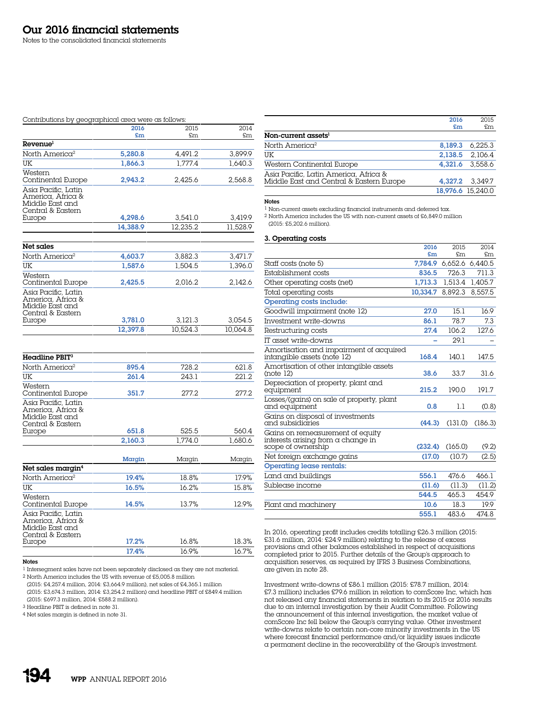#### Contributions by geographical area were as follows:

|                                                                                  | 2016     | 2015     | 2014     |
|----------------------------------------------------------------------------------|----------|----------|----------|
|                                                                                  | £m       | £m       | £m       |
| Revenue <sup>l</sup>                                                             |          |          |          |
| North America <sup>2</sup>                                                       | 5.280.8  | 4.491.2  | 3.899.9  |
| UK                                                                               | 1,866.3  | 1.777.4  | 1.640.3  |
| Western<br>Continental Europe                                                    | 2.943.2  | 2.425.6  | 2.568.8  |
| Asia Pacific, Latin<br>America, Africa &<br>Middle East and<br>Central & Eastern |          |          |          |
| Europe                                                                           | 4.298.6  | 3.541.0  | 3.419.9  |
|                                                                                  | 14.388.9 | 12.235.2 | 11.528.9 |
|                                                                                  |          |          |          |
| Net sales                                                                        |          |          |          |
| North America <sup>2</sup>                                                       | 4.603.7  | 3.882.3  | 3.471.7  |
| UK                                                                               | 1.587.6  | 1.504.5  | 1.396.0  |
| Western<br>Carabia and all Tenness a                                             | 0.405E   | 0.0310   | 0.3401   |

|                                                                                            | 12.397.8 | 10.524.3 | 10.064.8 |
|--------------------------------------------------------------------------------------------|----------|----------|----------|
| Asia Pacific, Latin<br>America, Africa &<br>Middle East and<br>Central & Eastern<br>Europe | 3.781.0  | 3.121.3  | 3.054.5  |
| <i>vvestem</i><br>Continental Europe                                                       | 2.425.5  | 2.016.2  | 2.142.6  |

| Headline PBIT <sup>3</sup>                                                       |         |         |         |
|----------------------------------------------------------------------------------|---------|---------|---------|
| North America <sup>2</sup>                                                       | 895.4   | 728.2   | 621.8   |
| UK                                                                               | 261.4   | 243.1   | 221.2   |
| Western<br>Continental Europe                                                    | 351.7   | 2772    | 277.2   |
| Asia Pacific, Latin<br>America, Africa &<br>Middle East and<br>Central & Eastern |         |         |         |
| Europe                                                                           | 651.8   | 525.5   | 560.4   |
|                                                                                  | 2,160.3 | 1.774.0 | 1,680.6 |
|                                                                                  | Margin  | Margin  | Margin  |
| Net sales margin <sup>4</sup>                                                    |         |         |         |
| North America <sup>2</sup>                                                       | 19.4%   | 18.8%   | 17.9%   |
| UK                                                                               | 16.5%   | 16.2%   | 15.8%   |
| Western<br>Continental Europe                                                    | 14.5%   | 13.7%   | 12.9%   |
| Asia Pacific, Latin<br>America, Africa &<br>Middle East and<br>Central & Eastern |         |         |         |
| Europe                                                                           | 17.2%   | 16.8%   | 18.3%   |
|                                                                                  | 17.4%   | 16.9%   | 16.7%   |

# Notes

1 Intersegment sales have not been separately disclosed as they are not material. 2 North America includes the US with revenue of £5,005.8 million

(2015: £4,257.4 million, 2014: £3,664.9 million), net sales of £4,365.1 million

(2015: £3,674.3 million, 2014: £3,254.2 million) and headline PBIT of £849.4 million (2015: £697.3 million, 2014: £588.2 million).

3 Headline PBIT is defined in note 31.

4 Net sales margin is defined in note 31.

|                                          | 2016    | 2015              |
|------------------------------------------|---------|-------------------|
|                                          | £m      | £m                |
| Non-current assets <sup>1</sup>          |         |                   |
| North America <sup>2</sup>               | 8.189.3 | 6.225.3           |
| UK                                       | 2.138.5 | 2.106.4           |
| Western Continental Europe               | 4.321.6 | 3.558.6           |
| Asia Pacific, Latin America, Africa &    |         |                   |
| Middle East and Central & Eastern Europe | 4.327.2 | 3.349.7           |
|                                          |         | 18,976.6 15.240.0 |

#### Notes

1 Non-current assets excluding financial instruments and deferred tax.

2 North America includes the US with non-current assets of £6,849.0 million

(2015: £5,202.6 million).

#### 3. Operating costs

|                                                                                                     | 2016     | 2015          | 2014            |
|-----------------------------------------------------------------------------------------------------|----------|---------------|-----------------|
|                                                                                                     | £m       | $\mathsf{fm}$ | \$m\$           |
| Staff costs (note 5)                                                                                | 7.784.9  |               | 6.652.6 6.440.5 |
| Establishment costs                                                                                 | 836.5    | 726.3         | 711.3           |
| Other operating costs (net)                                                                         | 1.713.3  | 1.513.4       | 1,405.7         |
| Total operating costs                                                                               | 10.334.7 | 8.892.3       | 8.557.5         |
| <b>Operating costs include:</b>                                                                     |          |               |                 |
| Goodwill impairment (note 12)                                                                       | 27.0     | 15.1          | 16.9            |
| Investment write-downs                                                                              | 86.1     | 78.7          | 7.3             |
| Restructuring costs                                                                                 | 27.4     | 106.2         | 127.6           |
| IT asset write-downs                                                                                |          | 291           |                 |
| Amortisation and impairment of acquired<br>intangible assets (note 12)                              | 168.4    | 140.1         | 147.5           |
| Amortisation of other intangible assets<br>(note 12)                                                | 38.6     | 33.7          | 31.6            |
| Depreciation of property, plant and<br>equipment                                                    | 215.2    | 190.0         | 191.7           |
| Losses/(gains) on sale of property, plant<br>and equipment                                          | 0.8      | 1.1           | (0.8)           |
| Gains on disposal of investments<br>and subsidiaries                                                | (44.3)   | (131.0)       | (186.3)         |
| Gains on remeasurement of equity<br>interests arising from $\alpha$ change in<br>scope of ownership | (232.4)  | (165.0)       | (9.2)           |
| Net foreign exchange gains                                                                          | (17.0)   | (10.7)        | (2.5)           |
| <b>Operating lease rentals:</b>                                                                     |          |               |                 |
| Land and buildings                                                                                  | 556.1    | 476.6         | 466.1           |
| Sublease income                                                                                     | (11.6)   | (11.3)        | (11.2)          |
|                                                                                                     | 544.5    | 465.3         | 454.9           |
| Plant and machinery                                                                                 | 10.6     | 18.3          | 19.9            |
|                                                                                                     | 555.1    | 483.6         | 474.8           |

In 2016, operating profit includes credits totalling £26.3 million (2015: £31.6 million, 2014: £24.9 million) relating to the release of excess provisions and other balances established in respect of acquisitions completed prior to 2015. Further details of the Group's approach to acquisition reserves, as required by IFRS 3 Business Combinations, are given in note 28.

Investment write-downs of £86.1 million (2015: £78.7 million, 2014: £7.3 million) includes £79.6 million in relation to comScore Inc, which has not released any financial statements in relation to its 2015 or 2016 results due to an internal investigation by their Audit Committee. Following the announcement of this internal investigation, the market value of comScore Inc fell below the Group's carrying value. Other investment write-downs relate to certain non-core minority investments in the US where forecast financial performance and/or liquidity issues indicate a permanent decline in the recoverability of the Group's investment.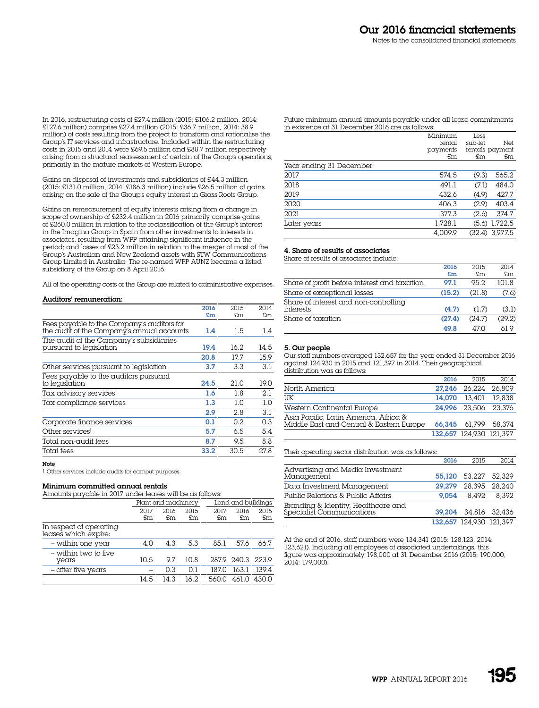In 2016, restructuring costs of £27.4 million (2015: £106.2 million, 2014: £127.6 million) comprise £27.4 million (2015: £36.7 million, 2014: 38.9 million) of costs resulting from the project to transform and rationalise the Group's IT services and infrastructure. Included within the restructuring costs in 2015 and 2014 were £69.5 million and £88.7 million respectively arising from a structural reassessment of certain of the Group's operations, primarily in the mature markets of Western Europe.

Gains on disposal of investments and subsidiaries of £44.3 million (2015: £131.0 million, 2014: £186.3 million) include £26.5 million of gains arising on the sale of the Group's equity interest in Grass Roots Group.

Gains on remeasurement of equity interests arising from a change in scope of ownership of £232.4 million in 2016 primarily comprise gains of £260.0 million in relation to the reclassification of the Group's interest in the Imagina Group in Spain from other investments to interests in associates, resulting from WPP attaining significant influence in the period; and losses of £23.2 million in relation to the merger of most of the Group's Australian and New Zealand assets with STW Communications Group Limited in Australia. The re-named WPP AUNZ became a listed subsidiary of the Group on 8 April 2016.

All of the operating costs of the Group are related to administrative expenses.

#### Auditors' remuneration:

|                                                                                          | 2016 | 2015 | 2014 |
|------------------------------------------------------------------------------------------|------|------|------|
|                                                                                          | £m   | £m   | £m   |
| Fees payable to the Company's auditors for<br>the audit of the Company's annual accounts | 1.4  | 1.5  | 1.4  |
| The audit of the Company's subsidiaries<br>pursuant to legislation                       | 19.4 | 16.2 | 14.5 |
|                                                                                          | 20.8 | 17.7 | 15.9 |
| Other services pursuant to legislation                                                   | 3.7  | 3.3  | 3.1  |
| Fees payable to the auditors pursuant<br>to legislation                                  | 24.5 | 21 Q | 19.0 |
| Tax advisory services                                                                    | 1.6  | 1.8  | 2.1  |
| Tax compliance services                                                                  | 1.3  | 1.0  | 1.0  |
|                                                                                          | 2.9  | 2.8  | 3.1  |
| Corporate finance services                                                               | 0.1  | 0.2  | 0.3  |
| Other services <sup>1</sup>                                                              | 5.7  | 6.5  | 5.4  |
| Total non-audit fees                                                                     | 8.7  | 9.5  | 8.8  |
| Total fees                                                                               | 33.2 | 30.5 | 27.8 |

#### Note

1 Other services include audits for earnout purposes.

# Minimum committed annual rentals

| Amounts payable in 2017 under leases will be as follows: |      |                     |      |       |                    |       |
|----------------------------------------------------------|------|---------------------|------|-------|--------------------|-------|
|                                                          |      | Plant and machinery |      |       | Land and buildings |       |
|                                                          | 2017 | 2016                | 2015 | 2017  | 2016               | 2015  |
|                                                          | £m   | £m                  | £m   | £m    | \$m\$              | \$m\$ |
| In respect of operating<br>leases which expire:          |      |                     |      |       |                    |       |
| - within one year                                        | 4.0  | 4.3                 | 5.3  | 85.1  | 57.6               | 66.7  |
| - within two to five<br>years                            | 10.5 | 9.7                 | 10.8 |       | 2879 240.3 223.9   |       |
| - after five years                                       |      | 0.3                 | 0.1  | 187.0 | 163.1              | 139.4 |
|                                                          | 14.5 | 14.3                | 16.2 | 560.0 | 461.0              | 430.0 |
|                                                          |      |                     |      |       |                    |       |

Future minimum annual amounts payable under all lease commitments in existence at 31 December 2016 are as follows:

|                         | Minimum  | Less    |                  |
|-------------------------|----------|---------|------------------|
|                         | rental   | sub-let | Net              |
|                         | payments |         | rentals payment  |
|                         | £m       | £m      | £m               |
| Year ending 31 December |          |         |                  |
| 2017                    | 574.5    | (9.3)   | 565.2            |
| 2018                    | 491.1    | (7.1)   | 484.0            |
| 2019                    | 432.6    | (4.9)   | 427.7            |
| 2020                    | 406.3    | (2.9)   | 403.4            |
| 2021                    | 377.3    | (2.6)   | 374.7            |
| Later years             | 1,728.1  |         | $(5.6)$ 1,722.5  |
|                         | 4.009.9  |         | $(32.4)$ 3,977.5 |

# 4. Share of results of associates

Share of results of associates include:

|                                                    | 2016<br>£m | 2015<br>£m | 2014<br>£m |
|----------------------------------------------------|------------|------------|------------|
| Share of profit before interest and taxation       | 97.1       | 95.2       | 101.8      |
| Share of exceptional losses                        | (15.2)     | (21.8)     | (7.6)      |
| Share of interest and non-controlling<br>interests | (4.7)      | (1.7)      | (3.1)      |
| Share of taxation                                  | (27.4)     | (24.7)     | (29.2)     |
|                                                    | 49.8       | 470        | 61 Q       |

#### 5. Our people

Our staff numbers averaged 132,657 for the year ended 31 December 2016 against 124,930 in 2015 and 121,397 in 2014. Their geographical distribution was as follows:

|                                                                                   | 2016   | 2015                    | 2014   |
|-----------------------------------------------------------------------------------|--------|-------------------------|--------|
| North America                                                                     |        | 27.246 26.224 26.809    |        |
| UK                                                                                | 14.070 | 13.401                  | 12.838 |
| Western Continental Europe                                                        |        | 24.996 23.506 23.376    |        |
| Asia Pacific, Latin America, Africa &<br>Middle East and Central & Eastern Europe |        | 66.345 61.799 58.374    |        |
|                                                                                   |        | 132.657 124.930 121.397 |        |

Their operating sector distribution was as follows:

|                                                                  | 2016   | 2015                    | 2014  |
|------------------------------------------------------------------|--------|-------------------------|-------|
| Advertising and Media Investment<br>Management                   |        | 55.120 53.227 52.329    |       |
| Data Investment Management                                       | 29.279 | 28.395 28.240           |       |
| Public Relations & Public Affairs                                | 9.054  | 8.492                   | 8.392 |
| Branding & Identity, Healthcare and<br>Specialist Communications |        | 39.204 34.816 32.436    |       |
|                                                                  |        | 132.657 124.930 121.397 |       |

At the end of 2016, staff numbers were 134,341 (2015: 128,123, 2014: 123,621). Including all employees of associated undertakings, this figure was approximately 198,000 at 31 December 2016 (2015: 190,000, 2014: 179,000).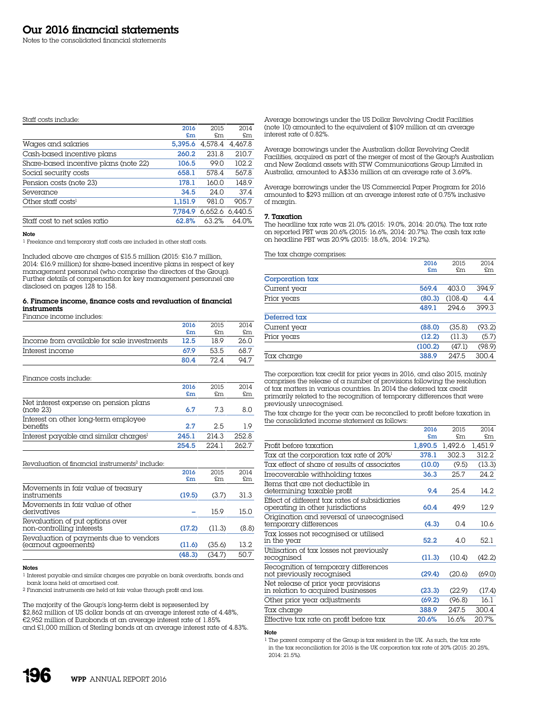#### Staff costs include:

|                                       | 2016    | 2015    | 2014    |
|---------------------------------------|---------|---------|---------|
|                                       | £m      | £m.     | £m      |
| Wages and salaries                    | 5.395.6 | 4.578.4 | 4.467.8 |
| Cash-based incentive plans            | 260.2   | 231.8   | 210.7   |
| Share-based incentive plans (note 22) | 106.5   | 99.0    | 102.2   |
| Social security costs                 | 658.1   | 578.4   | 567.8   |
| Pension costs (note 23)               | 178.1   | 160.0   | 148.9   |
| Severance                             | 34.5    | 24.0    | 37.4    |
| Other staff costs <sup>1</sup>        | 1.151.9 | 981.0   | 905.7   |
|                                       | 7.784.9 | 6.652.6 | 6.440.5 |
| Staff cost to net sales ratio         | 62.8%   | 63.2%   | 64.0%   |

Note

1 Freelance and temporary staff costs are included in other staff costs.

Included above are charges of £15.5 million (2015: £16.7 million, 2014: £16.9 million) for share-based incentive plans in respect of key management personnel (who comprise the directors of the Group). Further details of compensation for key management personnel are disclosed on pages 128 to 158.

#### 6. Finance income, finance costs and revaluation of financial instruments

Finance income includes:

|                                            | 2016 | 2015 | 2014 |
|--------------------------------------------|------|------|------|
|                                            | £m   | £m   | £m   |
| Income from available for sale investments | 12.5 | 18 9 | 26.0 |
| Interest income                            | 67.9 | 53.5 | 68.7 |
|                                            | 8∩ 4 |      | OA 7 |

Finance costs include:

|                                                    | 2016<br>£m | 2015<br>£m | 2014<br>£m |
|----------------------------------------------------|------------|------------|------------|
| Net interest expense on pension plans<br>(note 23) | 6.7        | 73         | 8.0        |
| Interest on other long-term employee<br>benefits   | 2.7        | 2.5        | 1 Q        |
| Interest payable and similar charges <sup>1</sup>  | 245.1      | 214.3      | 252.8      |
|                                                    | 254.5      | 2241       | 262.7      |

#### Revaluation of financial instruments<sup>2</sup> include:

|                                                                | 2016   | 2015   | 2014  |
|----------------------------------------------------------------|--------|--------|-------|
|                                                                | £m     | £m     | £m    |
| Movements in fair value of treasury<br>instruments             | (19.5) | (3.7)  | 31.3  |
| Movements in fair value of other<br>derivatives                |        | 15.9   | 15.0  |
| Revaluation of put options over<br>non-controlling interests   | (17.2) | (11.3) | (8.8) |
| Revaluation of payments due to vendors<br>(earnout agreements) | (11.6) | (35.6) | 13.2  |
|                                                                | (48.3) | (34.7) | 50.7  |

#### Notes

1 Interest payable and similar charges are payable on bank overdrafts, bonds and bank loans held at amortised cost.

2 Financial instruments are held at fair value through profit and loss.

The majority of the Group's long-term debt is represented by \$2,862 million of US dollar bonds at an average interest rate of 4.48%, €2,952 million of Eurobonds at an average interest rate of 1.85% and £1,000 million of Sterling bonds at an average interest rate of 4.83%. Average borrowings under the US Dollar Revolving Credit Facilities (note 10) amounted to the equivalent of \$109 million at an average interest rate of 0.82%.

Average borrowings under the Australian dollar Revolving Credit Facilities, acquired as part of the merger of most of the Group's Australian and New Zealand assets with STW Communications Group Limited in Australia, amounted to A\$336 million at an average rate of 3.69%.

Average borrowings under the US Commercial Paper Program for 2016 amounted to \$293 million at an average interest rate of 0.75% inclusive of margin.

#### 7. Taxation

The headline tax rate was 21.0% (2015: 19.0%, 2014: 20.0%). The tax rate on reported PBT was 20.6% (2015: 16.6%, 2014: 20.7%). The cash tax rate on headline PBT was 20.9% (2015: 18.6%, 2014: 19.2%).

The tax charge comprises:

|                 | 2016    | 2015    | 2014   |
|-----------------|---------|---------|--------|
|                 | £m      | £m      | £m     |
| Corporation tax |         |         |        |
| Current year    | 569.4   | 403.0   | 394.9  |
| Prior years     | (80.3)  | (108.4) | 4.4    |
|                 | 489.1   | 294.6   | 399.3  |
| Deferred tax    |         |         |        |
| Current year    | (88.0)  | (35.8)  | (93.2) |
| Prior years     | (12.2)  | (11.3)  | (5.7)  |
|                 | (100.2) | (47.1)  | (98.9) |
| Tax charge      | 388.9   | 247.5   | 300.4  |

The corporation tax credit for prior years in 2016, and also 2015, mainly comprises the release of a number of provisions following the resolution of tax matters in various countries. In 2014 the deferred tax credit primarily related to the recognition of temporary differences that were previously unrecognised.

The tax charge for the year can be reconciled to profit before taxation in the consolidated income statement as follows:

|                                                                                   | 2016    | 2015    | 2014    |
|-----------------------------------------------------------------------------------|---------|---------|---------|
|                                                                                   | £m      | £m      | £m.     |
| Profit before taxation                                                            | 1,890.5 | 1,492.6 | 1.451.9 |
| Tax at the corporation tax rate of 20% <sup>1</sup>                               | 378.1   | 302.3   | 312.2   |
| Tax effect of share of results of associates                                      | (10.0)  | (9.5)   | (13.3)  |
| Irrecoverable withholding taxes                                                   | 36.3    | 25.7    | 24.2    |
| Items that are not deductible in<br>determining taxable profit                    | 9.4     | 25.4    | 14.2.   |
| Effect of different tax rates of subsidiaries<br>operating in other jurisdictions | 60.4    | 49.9    | 12.9    |
| Origination and reversal of unrecognised<br>temporary differences                 | (4.3)   | 0.4     | 10.6    |
| Tax losses not recognised or utilised<br>in the year                              | 52.2    | 4.0     | 52.1    |
| Utilisation of tax losses not previously<br>recognised                            | (11.3)  | (10.4)  | (42.2)  |
| Recognition of temporary differences<br>not previously recognised                 | (29.4)  | (20.6)  | (69.0)  |
| Net release of prior year provisions<br>in relation to acquired businesses        | (23.3)  | (22.9)  | (17.4)  |
| Other prior year adjustments                                                      | (69.2)  | (96.8)  | 16.1    |
| Tax charge                                                                        | 388.9   | 247.5   | 300.4   |
| Effective tax rate on profit before tax                                           | 20.6%   | 16.6%   | 20.7%   |

#### Note

1 The parent company of the Group is tax resident in the UK. As such, the tax rate in the tax reconciliation for 2016 is the UK corporation tax rate of 20% (2015: 20.25%, 2014: 21.5%).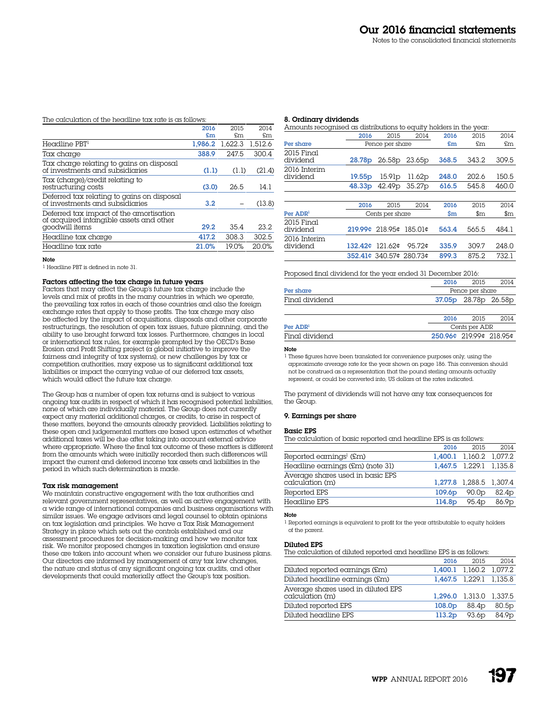# The calculation of the headline tax rate is as follows:

|                                                                                    | 2016    | 2015    | 2014    |
|------------------------------------------------------------------------------------|---------|---------|---------|
|                                                                                    | £m      | £m      | £m      |
| Headline PBT <sup>1</sup>                                                          | 1.986.2 | 1.622.3 | 1.512.6 |
| Tax charge                                                                         | 388.9   | 247.5   | 300.4   |
| Tax charge relating to gains on disposal<br>of investments and subsidiaries        | (1.1)   | (1.1)   | (21.4)  |
| Tax (charge)/credit relating to<br>restructuring costs                             | (3.0)   | 26.5    | 14.1    |
| Deferred tax relating to gains on disposal<br>of investments and subsidiaries      | 3.2     |         | (13.8)  |
| Deferred tax impact of the amortisation<br>of acquired intangible assets and other |         |         |         |
| goodwill items                                                                     | 29.2    | 35.4    | 23.2    |
| Headline tax charge                                                                | 417.2   | 308.3   | 302.5   |
| Headline tax rate                                                                  | 21.0%   | 19.0%   | 20.0%   |

#### Note

1 Headline PBT is defined in note 31.

# Factors affecting the tax charge in future years

Factors that may affect the Group's future tax charge include the levels and mix of profits in the many countries in which we operate, the prevailing tax rates in each of those countries and also the foreign exchange rates that apply to those profits. The tax charge may also be affected by the impact of acquisitions, disposals and other corporate restructurings, the resolution of open tax issues, future planning, and the ability to use brought forward tax losses. Furthermore, changes in local or international tax rules, for example prompted by the OECD's Base Erosion and Profit Shifting project (a global initiative to improve the fairness and integrity of tax systems), or new challenges by tax or competition authorities, may expose us to significant additional tax liabilities or impact the carrying value of our deferred tax assets, which would affect the future tax charge.

The Group has a number of open tax returns and is subject to various ongoing tax audits in respect of which it has recognised potential liabilities, none of which are individually material. The Group does not currently expect any material additional charges, or credits, to arise in respect of these matters, beyond the amounts already provided. Liabilities relating to these open and judgemental matters are based upon estimates of whether additional taxes will be due after taking into account external advice where appropriate. Where the final tax outcome of these matters is different from the amounts which were initially recorded then such differences will impact the current and deferred income tax assets and liabilities in the period in which such determination is made.

# Tax risk management

We maintain constructive engagement with the tax authorities and relevant government representatives, as well as active engagement with a wide range of international companies and business organisations with similar issues. We engage advisors and legal counsel to obtain opinions on tax legislation and principles. We have a Tax Risk Management Strategy in place which sets out the controls established and our assessment procedures for decision-making and how we monitor tax risk. We monitor proposed changes in taxation legislation and ensure these are taken into account when we consider our future business plans. Our directors are informed by management of any tax law changes, the nature and status of any significant ongoing tax audits, and other developments that could materially affect the Group's tax position.

#### 8. Ordinary dividends

| Amounts recognised as distributions to equity holders in the year. |                    |                         |                    |       |                                 |                                 |
|--------------------------------------------------------------------|--------------------|-------------------------|--------------------|-------|---------------------------------|---------------------------------|
|                                                                    | 2016               | 2015                    | 2014               | 2016  | 2015                            | 2014                            |
| Per share                                                          |                    | Pence per share         |                    | £m    | £m                              | £m                              |
| $2015$ Final<br>dividend                                           | 28.78p             | 26.58p                  | 23.65 <sub>p</sub> | 368.5 | 343.2                           | 309.5                           |
| 2016 Interim<br>dividend                                           | 19.55 <sub>p</sub> | 15.91p                  | 11.62p             | 248.0 | 202.6                           | 150.5                           |
|                                                                    | 48.33p             | 42.49 <sub>p</sub>      | 35.27 <sub>p</sub> | 616.5 | 545.8                           | 460.0                           |
|                                                                    |                    |                         |                    |       |                                 |                                 |
|                                                                    | 2016               | 2015                    | 2014               | 2016  | 2015                            | 2014                            |
| Per ADR <sup>1</sup>                                               |                    | Cents per share         |                    | \$m   | $\mathop{\mathrm{sm}}\nolimits$ | $\mathop{\mathrm{sm}}\nolimits$ |
| $2015$ Final<br>dividend                                           |                    | 219.99¢ 218.95¢ 185.01¢ |                    | 563.4 | 565.5                           | 484.1                           |
| 2016 Interim<br>dividend                                           | 132.42¢ 121.62¢    |                         | 95.72¢             | 335.9 | 309.7                           | 248.0                           |
|                                                                    |                    | 352.41¢ 340.57¢ 280.73¢ |                    | 899.3 | 875.2                           | 732.1                           |
|                                                                    |                    |                         |                    |       |                                 |                                 |

#### Proposed final dividend for the year ended 31 December 2016:

|                | 2016<br>2014<br>2015   |
|----------------|------------------------|
| Per share      | Pence per share        |
| Final dividend | 37.05p 28.78p 26.58p   |
|                |                        |
|                | 2016<br>2015<br>2014   |
| Dor ADDI       | Conte por $\Lambda$ DD |

| Per $\mathbf{ADR}^1$ | Cents per ADR           |
|----------------------|-------------------------|
| Final dividend       | 250.96¢ 219.99¢ 218.95¢ |
|                      |                         |

#### Note

1 These figures have been translated for convenience purposes only, using the approximate average rate for the year shown on page 186. This conversion should not be construed as a representation that the pound sterling amounts actually represent, or could be converted into, US dollars at the rates indicated.

The payment of dividends will not have any tax consequences for the Group.

#### 9. Earnings per share

#### Basic EPS

The calculation of basic reported and headline EPS is as follows:

|                                                     | 2016               | 2015                    | 2014              |
|-----------------------------------------------------|--------------------|-------------------------|-------------------|
| Reported earnings <sup>1</sup> (£m)                 |                    | 1,400.1 1,160.2 1,077.2 |                   |
| Headline earnings (£m) (note 31)                    |                    | 1,467.5 1,229.1 1,135.8 |                   |
| Average shares used in basic EPS<br>calculation (m) |                    | 1.277.8 1.288.5 1.307.4 |                   |
| Reported EPS                                        | 109.6 <sub>D</sub> | 90.0 <sub>D</sub>       | 82.4p             |
| Headline EPS                                        | 114.8 <sub>D</sub> | 95.4 <sub>p</sub>       | 86.9 <sub>p</sub> |

#### Note

1 Reported earnings is equivalent to profit for the year attributable to equity holders of the parent.

#### Diluted EPS

The calculation of diluted reported and headline EPS is as follows:

|                                                       | 2016               | 2015                    | 2014              |
|-------------------------------------------------------|--------------------|-------------------------|-------------------|
| Diluted reported earnings (£m)                        |                    | 1,400.1 1,160.2 1,077.2 |                   |
| Diluted headline earnings (£m)                        |                    | 1,467.5 1,229.1 1,135.8 |                   |
| Average shares used in diluted EPS<br>calculation (m) |                    | 1.296.0 1.313.0 1.337.5 |                   |
| Diluted reported EPS                                  | 108.0 <sub>D</sub> | 88.4 <sub>p</sub>       | 80.5p             |
| Diluted headline EPS                                  | 113.2 <sub>D</sub> | 93.6 <sub>p</sub>       | 84.9 <sub>p</sub> |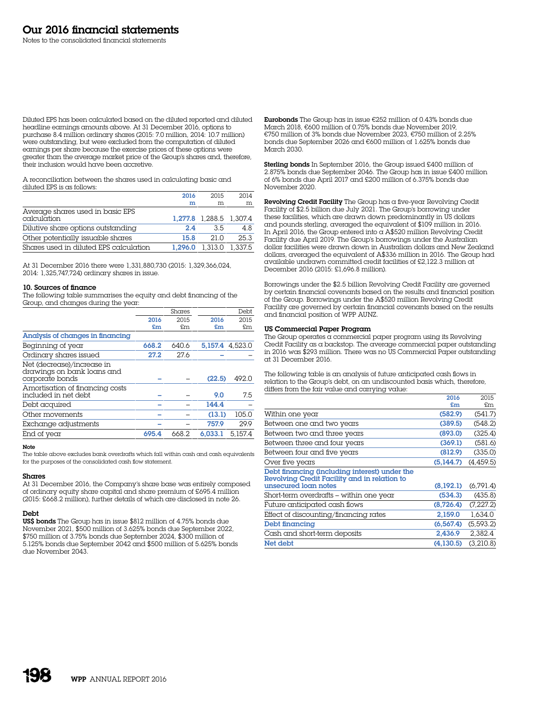Diluted EPS has been calculated based on the diluted reported and diluted headline earnings amounts above. At 31 December 2016, options to purchase 8.4 million ordinary shares (2015: 7.0 million, 2014: 10.7 million) were outstanding, but were excluded from the computation of diluted earnings per share because the exercise prices of these options were greater than the average market price of the Group's shares and, therefore, their inclusion would have been accretive.

A reconciliation between the shares used in calculating basic and diluted EPS is as follows:

|                                                 | 2016 | 2015                    | 2014    |
|-------------------------------------------------|------|-------------------------|---------|
|                                                 | m    | m                       | m       |
| Average shares used in basic EPS<br>calculation |      | 1.277.8 1.288.5 1.307.4 |         |
| Dilutive share options outstanding              | 2.4  | 3.5                     | 4.8     |
| Other potentially issuable shares               | 15.8 | 210                     | 25.3    |
| Shares used in diluted EPS calculation          |      | 1.296.0 1.313.0         | 1.337.5 |

At 31 December 2016 there were 1,331,880,730 (2015: 1,329,366,024) 2014: 1,325,747,724) ordinary shares in issue.

## 10. Sources of finance

The following table summarises the equity and debt financing of the Group, and changes during the year:

|                                                                             |       | Shares |         | Debt    |
|-----------------------------------------------------------------------------|-------|--------|---------|---------|
|                                                                             | 2016  | 2015   | 2016    | 2015    |
|                                                                             | £m    | £m     | £m      | £m      |
| Analysis of changes in financing                                            |       |        |         |         |
| Beginning of year                                                           | 668.2 | 640.6  | 5.157.4 | 4.523.0 |
| Ordinary shares issued                                                      | 27.2  | 27.6   |         |         |
| Net (decrease)/increase in<br>drawings on bank loans and<br>corporate bonds |       |        | (22.5)  | 492.0   |
| Amortisation of financing costs<br>included in net debt                     |       |        | 9.0     | 7.5     |
| Debt acquired                                                               |       |        | 144.4   |         |
| Other movements                                                             |       |        | (13.1)  | 105.0   |
| Exchange adjustments                                                        |       |        | 757.9   | 29.9    |
| End of year                                                                 | 695.4 | 668.2  | 6.033.1 | 5.157.4 |

## Note

The table above excludes bank overdrafts which fall within cash and cash equivalents for the purposes of the consolidated cash flow statement.

#### Shares

At 31 December 2016, the Company's share base was entirely composed of ordinary equity share capital and share premium of £695.4 million (2015: £668.2 million), further details of which are disclosed in note 26.

# Debt

US\$ bonds The Group has in issue \$812 million of 4.75% bonds due November 2021, \$500 million of 3.625% bonds due September 2022, \$750 million of 3.75% bonds due September 2024, \$300 million of 5.125% bonds due September 2042 and \$500 million of 5.625% bonds due November 2043.

Eurobonds The Group has in issue €252 million of 0.43% bonds due March 2018, €600 million of 0.75% bonds due November 2019, €750 million of 3% bonds due November 2023, €750 million of 2.25% bonds due September 2026 and €600 million of 1.625% bonds due March 2030.

Sterling bonds In September 2016, the Group issued £400 million of 2.875% bonds due September 2046. The Group has in issue £400 million of 6% bonds due April 2017 and £200 million of 6.375% bonds due November 2020.

Revolving Credit Facility The Group has a five-year Revolving Credit Facility of \$2.5 billion due July 2021. The Group's borrowing under these facilities, which are drawn down predominantly in US dollars and pounds sterling, averaged the equivalent of \$109 million in 2016. In April 2016, the Group entered into a A\$520 million Revolving Credit Facility due April 2019. The Group's borrowings under the Australian dollar facilities were drawn down in Australian dollars and New Zealand dollars, averaged the equivalent of A\$336 million in 2016. The Group had available undrawn committed credit facilities of £2,122.3 million at December 2016 (2015: £1,696.8 million).

Borrowings under the \$2.5 billion Revolving Credit Facility are governed by certain financial covenants based on the results and financial position of the Group. Borrowings under the A\$520 million Revolving Credit Facility are governed by certain financial covenants based on the results and financial position of WPP AUNZ.

#### US Commercial Paper Program

The Group operates a commercial paper program using its Revolving Credit Facility as a backstop. The average commercial paper outstanding in 2016 was \$293 million. There was no US Commercial Paper outstanding at 31 December 2016.

The following table is an analysis of future anticipated cash flows in relation to the Group's debt, on an undiscounted basis which, therefore, differs from the fair value and carrying value:

| £m<br>(582.9)<br>(389.5) | £m<br>(541.7) |
|--------------------------|---------------|
|                          |               |
|                          |               |
|                          | (548.2)       |
| (893.0)                  | (325.4)       |
| (369.1)                  | (581.6)       |
| (812.9)                  | (335.0)       |
| (5.144.7)                | (4,459.5)     |
|                          |               |
| (8,192.1)                | (6,791.4)     |
| (534.3)                  | (435.8)       |
| (8,726.4)                | (7,227.2)     |
| 2,159.0                  | 1.634.0       |
| (6, 567.4)               | (5, 593.2)    |
| 2,436.9                  | 2.382.4       |
| (4.130.5)                | (3.210.8)     |
|                          |               |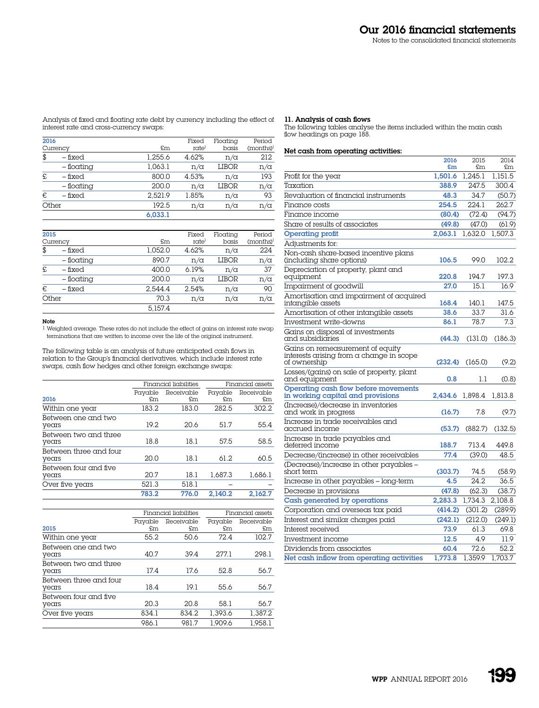Analysis of fixed and floating rate debt by currency including the effect of interest rate and cross-currency swaps:

#### 11. Analysis of cash flows

The following tables analyse the items included within the main cash flow headings on page 188.

# Net cash from operating activities:

|                                                                                              | 2016<br>£m | 2015<br>£m | 2014<br>£m |
|----------------------------------------------------------------------------------------------|------------|------------|------------|
| Profit for the year                                                                          | 1.501.6    | 1.245.1    | 1.151.5    |
| Taxation                                                                                     | 388.9      | 247.5      | 300.4      |
| Revaluation of financial instruments                                                         | 48.3       | 34.7       | (50.7)     |
| Finance costs                                                                                | 254.5      | 224.1      | 262.7      |
| Finance income                                                                               | (80.4)     | (72.4)     | (94.7)     |
| Share of results of associates                                                               | (49.8)     | (47.0)     | (61.9)     |
| <b>Operating profit</b>                                                                      | 2.063.1    | 1.632.0    | 1.507.3    |
| Adjustments for:                                                                             |            |            |            |
| Non-cash share-based incentive plans<br>(including share options)                            | 106.5      | 99.0       | 102.2      |
| Depreciation of property, plant and<br>equipment                                             | 220.8      | 194.7      | 197.3      |
| Impairment of goodwill                                                                       | 27.0       | 15.1       | 16.9       |
| Amortisation and impairment of acquired<br>intangible assets                                 | 168.4      | 140.1      | 147.5      |
| Amortisation of other intangible assets                                                      | 38.6       | 33.7       | 31.6       |
| Investment write-downs                                                                       | 86.1       | 78.7       | 7.3        |
| Gains on disposal of investments<br>and subsidiaries                                         | (44.3)     | (131.0)    | (186.3)    |
| Gains on remeasurement of equity<br>interests arising from a change in scope<br>of ownership | (232.4)    | (165.0)    | (9.2)      |
| Losses/(gains) on sale of property, plant<br>and equipment                                   | 0.8        | 1.1        | (0.8)      |
| Operating cash flow before movements<br>in working capital and provisions                    | 2.434.6    | 1,898.4    | 1,813.8    |
| (Increase)/decrease in inventories<br>and work in progress                                   | (16.7)     | 7.8        | (9.7)      |
| Increase in trade receivables and<br>accrued income                                          | (53.7)     | (882.7)    | (132.5)    |
| Increase in trade payables and<br>deferred income                                            | 188.7      | 713.4      | 449.8      |
| Decrease/(increase) in other receivables                                                     | 77.4       | (39.0)     | 48.5       |
| (Decrease)/increase in other payables –<br>short term                                        | (303.7)    | 74.5       | (58.9)     |
| Increase in other payables - long-term                                                       | 4.5        | 24.2       | 36.5       |
| Decrease in provisions                                                                       | (47.8)     | (62.3)     | (38.7)     |
| Cash generated by operations                                                                 | 2.283.3    | 1.734.3    | 2.108.8    |
| Corporation and overseas tax paid                                                            | (414.2)    | (301.2)    | (289.9)    |
| Interest and similar charges paid                                                            | (242.1)    | (212.0)    | (249.1)    |
| Interest received                                                                            | 73.9       | 61.3       | 69.8       |
| Investment income                                                                            | 12.5       | 4.9        | 11.9       |
| Dividends from associates                                                                    | 60.4       | 72.6       | 52.2       |
| Net cash inflow from operating activities                                                    | 1.773.8    | 1.359.9    | 1.703.7    |

| 2016  |              |         | Fixed      | Floating   | Period       |
|-------|--------------|---------|------------|------------|--------------|
|       | Currency     | £m      | rate       | basis      | $(months)^1$ |
| \$    | – fixed      | 1,255.6 | 4.62%      | $n/\alpha$ | 212          |
|       | $-$ floating | 1,063.1 | $n/\alpha$ | LIBOR      | $n/\alpha$   |
| £     | – fixed      | 800.0   | 4.53%      | $n/\alpha$ | 193          |
|       | – floating   | 200.0   | $n/\alpha$ | LIBOR      | $n/\alpha$   |
| €     | – fixed      | 2.521.9 | 1.85%      | $n/\alpha$ | 93           |
| Other |              | 192.5   | $n/\alpha$ | $n/\alpha$ | $n/\alpha$   |

6,033.1

| 2015  | Currency     | £m      | Fixed<br>ratel | Floatina<br>basis | Period<br>(months) <sup>1</sup> |
|-------|--------------|---------|----------------|-------------------|---------------------------------|
| \$    | $-$ fixed    | 1.052.0 | 4.62%          | $n/\alpha$        | 224                             |
|       | – floating   | 890.7   | n/a            | <b>LIBOR</b>      | $n/\alpha$                      |
| £     | – fixed      | 400.0   | 6.19%          | $n/\alpha$        | 37                              |
|       | $-$ floating | 200.0   | n/a            | <b>LIBOR</b>      | $n/\alpha$                      |
| €     | – fixed      | 2.544.4 | 2.54%          | $n/\alpha$        | 90                              |
| Other |              | 70.3    | n/a            | $n/\alpha$        | $n/\alpha$                      |
|       |              | 5.157.4 |                |                   |                                 |

# Note

 $\footnotesize^1$  Weighted average. These rates do not include the effect of gains on interest rate swap terminations that are written to income over the life of the original instrument.

The following table is an analysis of future anticipated cash flows in relation to the Group's financial derivatives, which include interest rate swaps, cash flow hedges and other foreign exchange swaps:

|                                 |         | Financial liabilities | Financial assets |            |  |
|---------------------------------|---------|-----------------------|------------------|------------|--|
|                                 | Payable | Receivable            | Payable          | Receivable |  |
| 2016                            | £m      | £m                    | \$m\$            | £m         |  |
| Within one year                 | 183.2   | 183.0                 | 282.5            | 302.2      |  |
| Between one and two<br>years    | 19.2    | 20.6                  | 51.7             | 55.4       |  |
| Between two and three<br>years  | 18.8    | 18.1                  | 57.5             | 58.5       |  |
| Between three and four<br>years | 20.0    | 18.1                  | 61.2             | 60.5       |  |
| Between four and five<br>years  | 20.7    | 18.1                  | 1.687.3          | 1.686.1    |  |
| Over five years                 | 521.3   | 518.1                 |                  |            |  |
|                                 | 783.2   | 776.0                 | 2.140.2          | 2.162.7    |  |

|                                 |               | Financial liabilities |                  | Financial assets |
|---------------------------------|---------------|-----------------------|------------------|------------------|
| 2015                            | Payable<br>£m | Receivable<br>£m      | Payable<br>\$m\$ | Receivable<br>£m |
| Within one year                 | 55.2          | 50.6                  | 72.4             | 102.7            |
| Between one and two<br>years    | 40.7          | 39.4                  | 277.1            | 298.1            |
| Between two and three<br>years  | 17.4          | 17.6                  | 52.8             | 56.7             |
| Between three and four<br>years | 18.4          | 19.1                  | 55.6             | 56.7             |
| Between four and five<br>years  | 20.3          | 20.8                  | 58.1             | 56.7             |
| Over five years                 | 834.1         | 834.2                 | 1.393.6          | 1,387.2          |
|                                 | 986.1         | 981.7                 | 1.909.6          | 1.958.1          |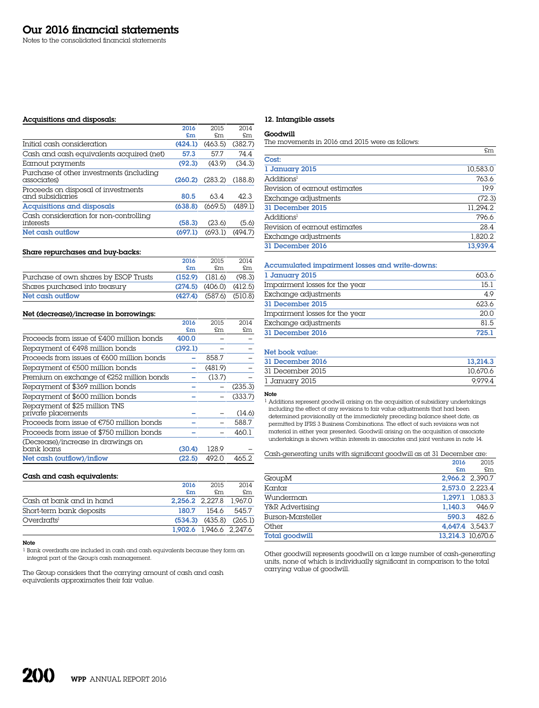Notes to the consolidated financial statements

#### Acquisitions and disposals:

|                                                         | 2016    | 2015    | 2014    |
|---------------------------------------------------------|---------|---------|---------|
|                                                         | £m      | \$m\$   | £m.     |
| Initial cash consideration                              | (424.1) | (463.5) | (382.7) |
| Cash and cash equivalents acquired (net)                | 57.3    | 577     | 744     |
| Earnout payments                                        | (92.3)  | (43.9)  | (34.3)  |
| Purchase of other investments (including<br>associates) | (260.2) | (283.2) | (188.8) |
| Proceeds on disposal of investments<br>and subsidiaries | 80.5    | 63.4    | 42.3    |
| Acquisitions and disposals                              | (638.8) | (669.5) | (489.1) |
| Cash consideration for non-controlling<br>interests     | (58.3)  | (23.6)  | (5.6)   |
| Net cash outflow                                        | (697.1) | (693.1) | (494.7) |
|                                                         |         |         |         |

#### Share repurchases and buy-backs:

|                                       | 2016                      | 2015                          | 2014   |
|---------------------------------------|---------------------------|-------------------------------|--------|
|                                       | $\mathbf{f}_{\mathbf{m}}$ | £m.                           | \$m\$  |
| Purchase of own shares by ESOP Trusts |                           | $(152.9)$ $(181.6)$           | (98.3) |
| Shares purchased into treasury        |                           | $(274.5)$ $(406.0)$ $(412.5)$ |        |
| Net cash outflow                      |                           | $(427.4)$ $(587.6)$ $(510.8)$ |        |

# Net (decrease)/increase in borrowings:

|                                                     | 2016    | 2015    | 2014    |
|-----------------------------------------------------|---------|---------|---------|
|                                                     | £m      | £m      | £m      |
| Proceeds from issue of £400 million bonds           | 400.0   |         |         |
| Repayment of €498 million bonds                     | (392.1) |         |         |
| Proceeds from issues of $E600$ million bonds        |         | 858.7   |         |
| Repayment of €500 million bonds                     |         | (481.9) |         |
| Premium on exchange of €252 million bonds           |         | (13.7)  |         |
| Repayment of \$369 million bonds                    |         |         | (235.3) |
| Repayment of \$600 million bonds                    |         |         | (333.7) |
| Repayment of \$25 million TNS<br>private placements |         |         | (14.6)  |
| Proceeds from issue of $E750$ million bonds         |         |         | 588.7   |
| Proceeds from issue of \$750 million bonds          |         |         | 460.1   |
| (Decrease)/increase in drawings on<br>bank loans    | (30.4)  | 128.9   |         |
| Net cash (outflow)/inflow                           | (22.5)  | 492.0   | 465.2   |

#### Cash and cash equivalents:

|                          | 2016                    | 2015  | 2014                          |
|--------------------------|-------------------------|-------|-------------------------------|
|                          | £m                      | £m.   | £m                            |
| Cash at bank and in hand | 2,256.2 2,227.8 1,967.0 |       |                               |
| Short-term bank deposits | 180.7                   | 154.6 | 545.7                         |
| Overdrafts               |                         |       | $(534.3)$ $(435.8)$ $(265.1)$ |
|                          | 1,902.6 1,946.6 2,247.6 |       |                               |

#### Note

1 Bank overdrafts are included in cash and cash equivalents because they form an integral part of the Group's cash management.

The Group considers that the carrying amount of cash and cash equivalents approximates their fair value.

## 12. Intangible assets

#### Goodwill

The movements in 2016 and 2015 were as follows:

|                               | £m       |
|-------------------------------|----------|
| Cost:                         |          |
| 1 January 2015                | 10,583.0 |
| Additions <sup>1</sup>        | 763.6    |
| Revision of earnout estimates | 19.9     |
| Exchange adjustments          | (72.3)   |
| 31 December 2015              | 11.294.2 |
| Additions <sup>1</sup>        | 796.6    |
| Revision of earnout estimates | 28.4     |
| Exchange adjustments          | 1.820.2  |
| 31 December 2016              | 13,939.4 |

# Accumulated impairment losses and write-downs:

| 1 January 2015                 | 603.6 |
|--------------------------------|-------|
| Impairment losses for the year | 15.1  |
| Exchange adjustments           | 4.9   |
| 31 December 2015               | 623.6 |
| Impairment losses for the year | 20.0  |
| Exchange adjustments           | 81.5  |
| 31 December 2016               | 725.1 |

# Net book value:

| 31 December 2016 | 13.214.3 |
|------------------|----------|
| 31 December 2015 | 10.670.6 |
| 1 January 2015   | 9.979.4  |

### Note

1 Additions represent goodwill arising on the acquisition of subsidiary undertakings including the effect of any revisions to fair value adjustments that had been determined provisionally at the immediately preceding balance sheet date, as permitted by IFRS 3 Business Combinations. The effect of such revisions was not material in either year presented. Goodwill arising on the acquisition of associate undertakings is shown within interests in associates and joint ventures in note 14.

Cash-generating units with significant goodwill as at 31 December are:

|                       | 2016    | 2015              |
|-----------------------|---------|-------------------|
|                       | £m      | £m                |
| GroupM                |         | 2,966.2 2,390.7   |
| Kantar                |         | 2,573.0 2,223.4   |
| Wunderman             |         | 1.297.1 1.083.3   |
| Y&R Advertising       | 1.140.3 | 946.9             |
| Burson-Marsteller     | 590.3   | 482.6             |
| Other                 |         | 4.647.4 3.543.7   |
| <b>Total goodwill</b> |         | 13.214.3 10.670.6 |

Other goodwill represents goodwill on a large number of cash-generating units, none of which is individually significant in comparison to the total carrying value of goodwill.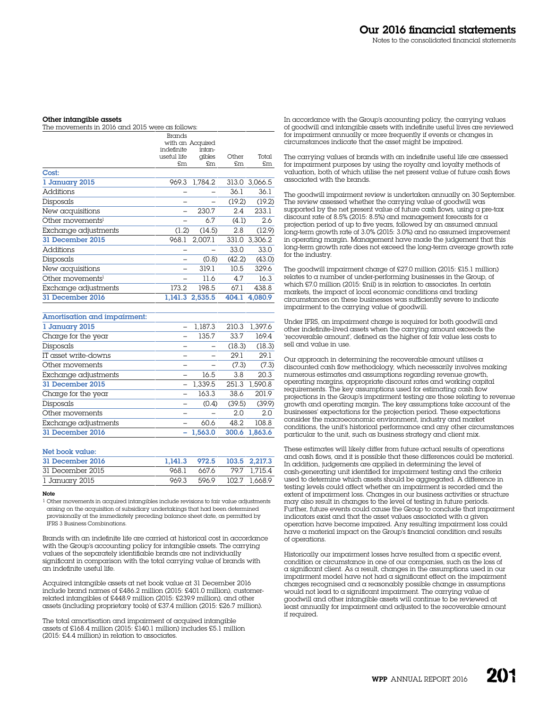#### Other intangible assets

| The movements in 2016 and 2015 were as follows: |             |                  |        |         |  |  |  |
|-------------------------------------------------|-------------|------------------|--------|---------|--|--|--|
| Brands                                          |             |                  |        |         |  |  |  |
|                                                 |             | with an Acquired |        |         |  |  |  |
|                                                 | indefinite  | intan-           |        |         |  |  |  |
|                                                 | useful life | qibles           | Other  | Total   |  |  |  |
|                                                 | \$m\$       | £m               | £m     | £m      |  |  |  |
| Cost:                                           |             |                  |        |         |  |  |  |
| 1 January 2015                                  | 969.3       | 1,784.2          | 313.0  | 3,066.5 |  |  |  |
| Additions                                       |             |                  | 36.1   | 36.1    |  |  |  |
| Disposals                                       |             |                  | (19.2) | (19.2)  |  |  |  |
| New acquisitions                                |             | 230.7            | 2.4    | 233.1   |  |  |  |
| Other movements <sup>1</sup>                    |             | 6.7              | (4.1)  | 2.6     |  |  |  |
| Exchange adjustments                            | (1.2)       | (14.5)           | 2.8    | (12.9)  |  |  |  |
| 31 December 2015                                | 968.1       | 2,007.1          | 331.0  | 3,306.2 |  |  |  |
| Additions                                       |             |                  | 33.0   | 33.0    |  |  |  |
| Disposals                                       |             | (0.8)            | (42.2) | (43.0)  |  |  |  |
| New acquisitions                                |             | 319.1            | 10.5   | 329.6   |  |  |  |
| Other movements <sup>1</sup>                    |             | 11.6             | 4.7    | 16.3    |  |  |  |
| Exchange adjustments                            | 173.2       | 198.5            | 67.1   | 438.8   |  |  |  |
| 31 December 2016                                | 1,141.3     | 2,535.5          | 404.1  | 4,080.9 |  |  |  |
|                                                 |             |                  |        |         |  |  |  |

| Amortisation and impairment: |         |        |         |
|------------------------------|---------|--------|---------|
| 1 January 2015               | 1.187.3 | 210.3  | 1,397.6 |
| Charge for the year          | 135.7   | 33.7   | 169.4   |
| Disposals                    |         | (18.3) | (18.3)  |
| IT asset write-downs         |         | 29.1   | 29.1    |
| Other movements              |         | (7.3)  | (7.3)   |
| Exchange adjustments         | 16.5    | 3.8    | 20.3    |
| 31 December 2015             | 1.339.5 | 251.3  | 1.590.8 |
| Charge for the year          | 163.3   | 38.6   | 201.9   |
| Disposals                    | (0.4)   | (39.5) | (39.9)  |
| Other movements              |         | 2.0    | 2.0     |
| Exchange adjustments         | 60.6    | 48.2   | 108.8   |
| 31 December 2016             | 1.563.0 | 300.6  | 1.863.6 |

## Net book value:

| 31 December 2016 | 1,141.3 972.5 103.5 2,217.3 |             |                    |
|------------------|-----------------------------|-------------|--------------------|
| 31 December 2015 | 968.1                       |             | 667.6 79.7 1.715.4 |
| 1 January 2015   |                             | 969.3 596.9 | 102.7 1.668.9      |

#### Note

1 Other movements in acquired intangibles include revisions to fair value adjustments arising on the acquisition of subsidiary undertakings that had been determined provisionally at the immediately preceding balance sheet date, as permitted by IFRS 3 Business Combinations.

Brands with an indefinite life are carried at historical cost in accordance with the Group's accounting policy for intangible assets. The carrying values of the separately identifiable brands are not individually significant in comparison with the total carrying value of brands with an indefinite useful life.

Acquired intangible assets at net book value at 31 December 2016 include brand names of £486.2 million (2015: £401.0 million), customerrelated intangibles of £448.9 million (2015: £239.9 million), and other assets (including proprietary tools) of £37.4 million (2015: £26.7 million).

The total amortisation and impairment of acquired intangible assets of £168.4 million (2015: £140.1 million) includes £5.1 million (2015: £4.4 million) in relation to associates.

In accordance with the Group's accounting policy, the carrying values of goodwill and intangible assets with indefinite useful lives are reviewed for impairment annually or more frequently if events or changes in circumstances indicate that the asset might be impaired.

The carrying values of brands with an indefinite useful life are assessed for impairment purposes by using the royalty and loyalty methods of valuation, both of which utilise the net present value of future cash flows associated with the brands.

The goodwill impairment review is undertaken annually on 30 September. The review assessed whether the carrying value of goodwill was supported by the net present value of future cash flows, using a pre-tax discount rate of 8.5% (2015: 8.5%) and management forecasts for a projection period of up to five years, followed by an assumed annual long-term growth rate of 3.0% (2015: 3.0%) and no assumed improvement in operating margin. Management have made the judgement that this long-term growth rate does not exceed the long-term average growth rate for the industry.

The goodwill impairment charge of £27.0 million (2015: £15.1 million) relates to a number of under-performing businesses in the Group, of which £7.0 million (2015: £nil) is in relation to associates. In certain markets, the impact of local economic conditions and trading circumstances on these businesses was sufficiently severe to indicate impairment to the carrying value of goodwill.

Under IFRS, an impairment charge is required for both goodwill and other indefinite-lived assets when the carrying amount exceeds the 'recoverable amount', defined as the higher of fair value less costs to sell and value in use.

Our approach in determining the recoverable amount utilises  $\alpha$ discounted cash flow methodology, which necessarily involves making numerous estimates and assumptions regarding revenue growth, operating margins, appropriate discount rates and working capital requirements. The key assumptions used for estimating cash flow projections in the Group's impairment testing are those relating to revenue growth and operating margin. The key assumptions take account of the businesses' expectations for the projection period. These expectations consider the macroeconomic environment, industry and market conditions, the unit's historical performance and any other circumstances particular to the unit, such as business strategy and client mix.

These estimates will likely differ from future actual results of operations and cash flows, and it is possible that these differences could be material. In addition, judgements are applied in determining the level of cash-generating unit identified for impairment testing and the criteria used to determine which assets should be aggregated. A difference in testing levels could affect whether an impairment is recorded and the extent of impairment loss. Changes in our business activities or structure may also result in changes to the level of testing in future periods. Further, future events could cause the Group to conclude that impairment indicators exist and that the asset values associated with a given operation have become impaired. Any resulting impairment loss could have a material impact on the Group's financial condition and results of operations.

Historically our impairment losses have resulted from a specific event, condition or circumstance in one of our companies, such as the loss of  $\alpha$  significant client. As  $\alpha$  result, changes in the assumptions used in our impairment model have not had a significant effect on the impairment charges recognised and a reasonably possible change in assumptions would not lead to a significant impairment. The carrying value of goodwill and other intangible assets will continue to be reviewed at least annually for impairment and adjusted to the recoverable amount if required.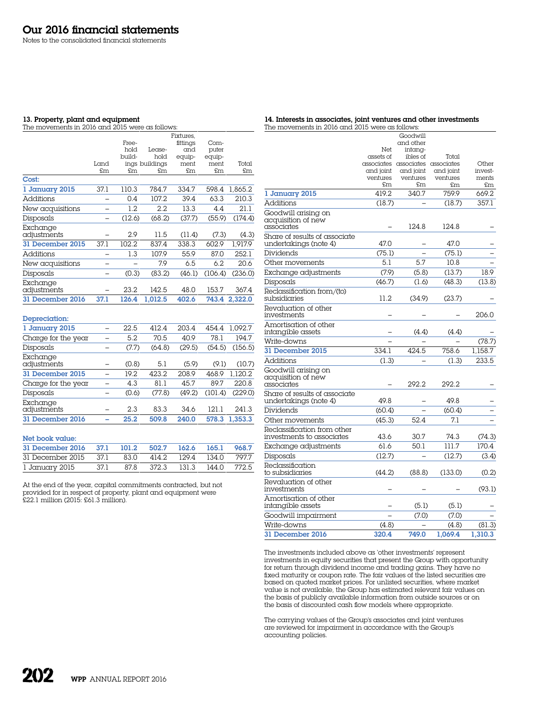Notes to the consolidated financial statements

#### 13. Property, plant and equipment

The movements in 2016 and 2015 were as follows:

| 14. Interests in associates, joint ventures and other investments |
|-------------------------------------------------------------------|
| The movements in 2016 and 2015 were as follows:                   |

|                         |                          |        |                | Fixtures. |         |         |
|-------------------------|--------------------------|--------|----------------|-----------|---------|---------|
|                         |                          | Free-  |                | fittings  | Com-    |         |
|                         |                          | bold   | Lease-         | and       | puter   |         |
|                         |                          | build- | hold           | equip-    | equip-  |         |
|                         | Land                     |        | ings buildings | ment      | ment    | Total   |
|                         | £m                       | £m     | £m             | £m        | £m      | £m      |
| Cost:                   |                          |        |                |           |         |         |
| 1 January 2015          | 37.1                     | 110.3  | 784.7          | 334.7     | 598.4   | 1.865.2 |
| <b>Additions</b>        |                          | 0.4    | 107.2          | 39.4      | 63.3    | 210.3   |
| New acquisitions        |                          | 1.2    | 2.2            | 13.3      | 4.4     | 21.1    |
| Disposals               |                          | (12.6) | (68.2)         | (37.7)    | (55.9)  | (174.4) |
| Exchange<br>adjustments |                          | 2.9    | 11.5           | (11.4)    | (7.3)   | (4.3)   |
| 31 December 2015        | 37.1                     | 102.2  | 837.4          | 338.3     | 602.9   | 1.917.9 |
| <b>Additions</b>        |                          | 1.3    | 107.9          | 55.9      | 87.0    | 252.1   |
| New acquisitions        |                          |        | 7.9            | 6.5       | 6.2     | 20.6    |
| Disposals               |                          | (0.3)  | (83.2)         | (46.1)    | (106.4) | (236.0) |
| Exchange<br>adjustments |                          | 23.2   | 142.5          | 48.0      | 153.7   | 367.4   |
| 31 December 2016        | 37.1                     | 126.4  | 1.012.5        | 402.6     | 743.4   | 2,322.0 |
| Depreciation:           |                          |        |                |           |         |         |
| 1 January 2015          |                          | 22.5   | 412.4          | 203.4     | 454.4   | 1.092.7 |
| Charge for the year     |                          | 5.2    | 70.5           | 40.9      | 78.1    | 194.7   |
| Disposals               | ۳                        | (7.7)  | (64.8)         | (29.5)    | (54.5)  | (156.5) |
| Exchange<br>adjustments |                          | (0.8)  | 5.1            | (5.9)     | (9.1)   | (10.7)  |
| 31 December 2015        | $\overline{\phantom{0}}$ | 19.2   | 423.2          | 208.9     | 468.9   | 1.120.2 |
| Charge for the year     | -                        | 4.3    | 81.1           | 45.7      | 89.7    | 220.8   |
| Disposals               |                          | (0.6)  | (77.8)         | (49.2)    | (101.4) | (229.0) |
| Exchange<br>adjustments |                          | 2.3    | 83.3           | 34.6      | 121.1   | 241.3   |
| 31 December 2016        |                          | 25.2   | 509.8          | 240.0     | 578.3   | 1.353.3 |

Net book value:

| 31 December 2016 37.1                              |      | 101.2 | 502.7 162.6 165.1 |             | 968.7   |
|----------------------------------------------------|------|-------|-------------------|-------------|---------|
| 31 December 2015 37.1 83.0 414.2 129.4 134.0 797.7 |      |       |                   |             |         |
| 1 January 2015                                     | 37.1 | 878   | 372.3             | 131.3 144.0 | - 772.5 |

At the end of the year, capital commitments contracted, but not provided for in respect of property, plant and equipment were £22.1 million (2015: £61.3 million).

|                                                          |           | Goodwill                                      |           |                  |
|----------------------------------------------------------|-----------|-----------------------------------------------|-----------|------------------|
|                                                          |           | and other                                     |           |                  |
|                                                          | Net       | intang-                                       |           |                  |
|                                                          | assets of | ibles of                                      | Total     |                  |
|                                                          | and joint | associates associates associates<br>and joint | and joint | Other<br>invest- |
|                                                          | ventures  | ventures                                      | ventures  | ments            |
|                                                          | £m        | £m                                            | £m        | £m               |
| 1 January 2015                                           | 419.2     | 340.7                                         | 759.9     | 669.2            |
| <b>Additions</b>                                         | (18.7)    |                                               | (18.7)    | 357.1            |
| Goodwill arising on<br>acquisition of new<br>associates  |           | 124.8                                         | 124.8     |                  |
| Share of results of associate                            |           |                                               |           |                  |
| undertakings (note 4)                                    | 47.0      |                                               | 47.0      |                  |
| Dividends                                                | (75.1)    |                                               | (75.1)    |                  |
| Other movements                                          | 5.1       | 5.7                                           | 10.8      |                  |
| Exchange adjustments                                     | (7.9)     | (5.8)                                         | (13.7)    | 18.9             |
| Disposals                                                | (46.7)    | (1.6)                                         | (48.3)    | (13.8)           |
| Reclassification from/(to)<br>subsidiaries               | 11.2      | (34.9)                                        | (23.7)    |                  |
| Revaluation of other<br>investments                      |           |                                               |           | 206.0            |
| Amortisation of other<br>intangible assets               |           | (4.4)                                         | (4.4)     |                  |
| Write-downs                                              |           |                                               |           | (78.7)           |
| 31 December 2015                                         | 334.1     | 424.5                                         | 758.6     | 1,158.7          |
| <b>Additions</b>                                         | (1.3)     |                                               | (1.3)     | 233.5            |
| Goodwill arising on<br>acquisition of new<br>associates  |           | 292.2                                         | 292.2     |                  |
| Share of results of associate<br>undertakings (note 4)   | 49.8      |                                               | 49.8      |                  |
| Dividends                                                | (60.4)    |                                               | (60.4)    |                  |
| Other movements                                          | (45.3)    | 52.4                                          | 7.1       |                  |
| Reclassification from other<br>investments to associates | 43.6      | 30.7                                          | 74.3      | (74.3)           |
| Exchange adjustments                                     | 61.6      | 50.1                                          | 111.7     | 170.4            |
| Disposals                                                | (12.7)    |                                               | (12.7)    | (3.4)            |
| Reclassification<br>to subsidiaries                      | (44.2)    | (88.8)                                        | (133.0)   | (0.2)            |
| Revaluation of other<br>investments                      |           |                                               |           | (93.1)           |
| Amortisation of other<br>intangible assets               |           | (5.1)                                         | (5.1)     |                  |
| Goodwill impairment                                      |           | (7.0)                                         | (7.0)     |                  |
| Write-downs                                              | (4.8)     |                                               | (4.8)     | (81.3)           |
| 31 December 2016                                         | 320.4     | 749.0                                         | 1,069.4   | 1.310.3          |

The investments included above as 'other investments' represent investments in equity securities that present the Group with opportunity for return through dividend income and trading gains. They have no fixed maturity or coupon rate. The fair values of the listed securities are based on quoted market prices. For unlisted securities, where market value is not available, the Group has estimated relevant fair values on the basis of publicly available information from outside sources or on the basis of discounted cash flow models where appropriate.

The carrying values of the Group's associates and joint ventures are reviewed for impairment in accordance with the Group's accounting policies.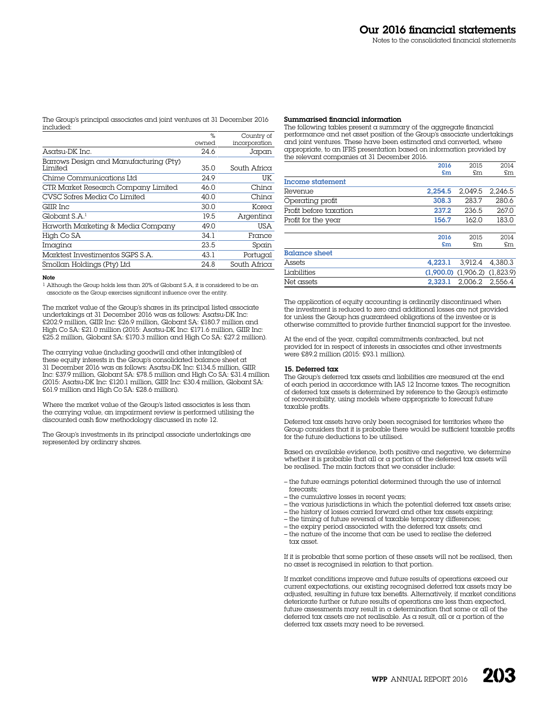The Group's principal associates and joint ventures at 31 December 2016 included:

|                                                          | $\frac{1}{2}$ | Country of    |
|----------------------------------------------------------|---------------|---------------|
|                                                          | owned         | incorporation |
| Asatsu-DK Inc.                                           | 24.6          | Japan         |
| Barrows Design and Manufacturing (Pty)<br><b>Limited</b> | 35.0          | South Africa  |
| Chime Communications Ltd                                 | 24.9          | UK            |
| CTR Market Research Company Limited                      | 46.0          | $Chin\alpha$  |
| CVSC Sofres Media Co Limited                             | 40.0          | $Chin\alpha$  |
| GIIR Inc.                                                | 30.0          | Korea         |
| GlobalS.A. <sup>1</sup>                                  | 19.5          | Argentina     |
| Haworth Marketing & Media Company                        | 49.0          | USA           |
| High Co SA                                               | 34.1          | France        |
| Imagina                                                  | 23.5          | Spain         |
| Marktest Investimentos SGPS S.A.                         | 43.1          | Portugal      |
| Smollan Holdings (Pty) Ltd                               | 24.8          | South Africa  |

#### Note

1 Although the Group holds less than 20% of Globant S.A, it is considered to be an associate as the Group exercises significant influence over the entity.

The market value of the Group's shares in its principal listed associate undertakings at 31 December 2016 was as follows: Asatsu-DK Inc: £202.9 million, GIIR Inc: £26.9 million, Globant SA: £180.7 million and High Co SA: £21.0 million (2015: Asatsu-DK Inc: £171.6 million, GIIR Inc: £25.2 million, Globant SA: £170.3 million and High Co SA: £27.2 million).

The carrying value (including goodwill and other intangibles) of these equity interests in the Group's consolidated balance sheet at 31 December 2016 was as follows: Asatsu-DK Inc: £134.5 million, GIIR Inc: £37.9 million, Globant SA: £78.5 million and High Co SA: £31.4 million (2015: Asatsu-DK Inc: £120.1 million, GIIR Inc: £30.4 million, Globant SA: £61.9 million and High Co SA: £28.6 million).

Where the market value of the Group's listed associates is less than the carrying value, an impairment review is performed utilising the discounted cash flow methodology discussed in note 12.

The Group's investments in its principal associate undertakings are represented by ordinary shares.

#### Summarised financial information

The following tables present a summary of the aggregate financial performance and net asset position of the Group's associate undertakings and joint ventures. These have been estimated and converted, where appropriate, to an IFRS presentation based on information provided by the relevant companies at 31 December 2016.

|                        | 2016    | 2015                                | 2014    |
|------------------------|---------|-------------------------------------|---------|
|                        | £m      | £m                                  | £m      |
| Income statement       |         |                                     |         |
| Revenue                | 2.254.5 | 2.049.5                             | 2.246.5 |
| Operating profit       | 308.3   | 283.7                               | 280.6   |
| Profit before taxation | 237.2   | 236.5                               | 267.0   |
| Profit for the year    | 156.7   | 162.0                               | 183.0   |
|                        |         |                                     |         |
|                        | 2016    | 2015                                | 2014    |
|                        | £m      | £m                                  | £m      |
| <b>Balance sheet</b>   |         |                                     |         |
| Assets                 | 4.223.1 | 3.912.4                             | 4.380.3 |
| Liabilities            |         | $(1.900.0)$ $(1.906.2)$ $(1.823.9)$ |         |
| Net assets             | 2.323.1 | 2.006.2                             | 2.556.4 |

The application of equity accounting is ordinarily discontinued when the investment is reduced to zero and additional losses are not provided for unless the Group has guaranteed obligations of the investee or is otherwise committed to provide further financial support for the investee.

At the end of the year, capital commitments contracted, but not provided for in respect of interests in associates and other investments were £89.2 million (2015: £93.1 million).

#### 15. Deferred tax

The Group's deferred tax assets and liabilities are measured at the end of each period in accordance with IAS 12 Income taxes. The recognition of deferred tax assets is determined by reference to the Group's estimate of recoverability, using models where appropriate to forecast future taxable profits.

Deferred tax assets have only been recognised for territories where the Group considers that it is probable there would be sufficient taxable profits for the future deductions to be utilised.

Based on available evidence, both positive and negative, we determine whether it is probable that all or a portion of the deferred tax assets will be realised. The main factors that we consider include:

- the future earnings potential determined through the use of internal forecasts;
- the cumulative losses in recent years;
- the various jurisdictions in which the potential deferred tax assets arise;
- the history of losses carried forward and other tax assets expiring;
- the timing of future reversal of taxable temporary differences;
- the expiry period associated with the deferred tax assets; and
- the nature of the income that can be used to realise the deferred tax asset.

If it is probable that some portion of these assets will not be realised, then no asset is recognised in relation to that portion.

If market conditions improve and future results of operations exceed our current expectations, our existing recognised deferred tax assets may be adjusted, resulting in future tax benefits. Alternatively, if market conditions deteriorate further or future results of operations are less than expected, future assessments may result in a determination that some or all of the deferred tax assets are not realisable. As a result, all or a portion of the deferred tax assets may need to be reversed.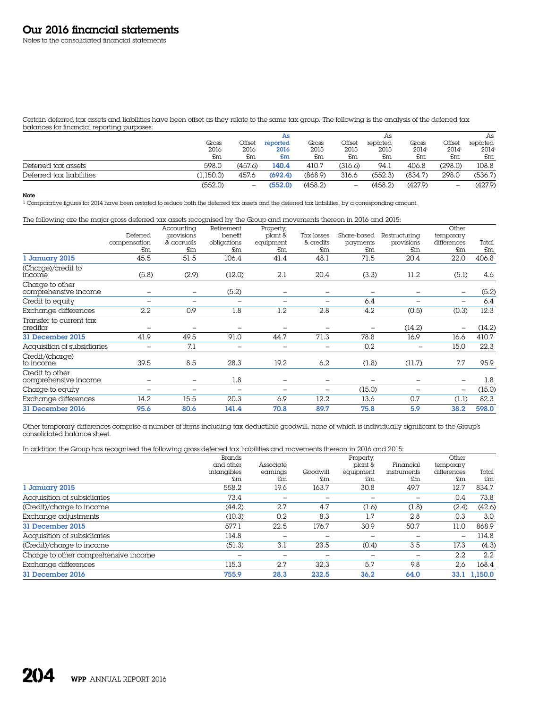Notes to the consolidated financial statements

Certain deferred tax assets and liabilities have been offset as they relate to the same tax group. The following is the analysis of the deferred tax balances for financial reporting purposes:

|                          |           |                   | As       |         |                          | As       |          |          | As       |
|--------------------------|-----------|-------------------|----------|---------|--------------------------|----------|----------|----------|----------|
|                          | Gross     | Offset            | reported | Gross   | Offset                   | reported | Gross    | Offset   | reported |
|                          | 2016      | 2016              | 2016     | 2015    | 2015                     | 2015     | $2014^1$ | $2014^1$ | $2014^1$ |
|                          | £m        | £m                | £m       | £m      | £m                       | £m       | £m       | £m       | £m       |
| Deferred tax assets      | 598.0     | (457.6)           | 140.4    | 410.7   | (316.6)                  | 94.1     | 406.8    | (298.0)  | 108.8    |
| Deferred tax liabilities | (1.150.0) | 457.6             | (692.4)  | (868.9) | 316.6                    | (552.3)  | (834.7)  | 298.0    | (536.7)  |
|                          | (552.0)   | $\qquad \qquad -$ | (552.0)  | (458.2) | $\overline{\phantom{m}}$ | (458.2)  | (427.9)  | -        | (427.9)  |

#### Note

1 Comparative figures for 2014 have been restated to reduce both the deferred tax assets and the deferred tax liabilities, by a corresponding amount.

The following are the major gross deferred tax assets recognised by the Group and movements thereon in 2016 and 2015:

|                                         |                          | Accounting               | Retirement               | Property,                |            |             |                          | Other                    |        |
|-----------------------------------------|--------------------------|--------------------------|--------------------------|--------------------------|------------|-------------|--------------------------|--------------------------|--------|
|                                         | Deferred                 | provisions               | benefit                  | plant &                  | Tax losses | Share-based | Restructuring            | temporary                |        |
|                                         | compensation             | & accruals               | obligations              | equipment                | & credits  | payments    | provisions               | differences              | Total  |
|                                         | £m                       | £m                       | £m                       | \$m\$                    | £m         | £m          | £m                       | £m                       | £m     |
| 1 January 2015                          | 45.5                     | 51.5                     | 106.4                    | 41.4                     | 48.1       | 71.5        | 20.4                     | 22.0                     | 406.8  |
| (Charge)/credit to<br>income            | (5.8)                    | (2.9)                    | (12.0)                   | 2.1                      | 20.4       | (3.3)       | 11.2                     | (5.1)                    | 4.6    |
| Charge to other<br>comprehensive income |                          | $\qquad \qquad -$        | (5.2)                    | $\overline{\phantom{0}}$ | -          |             | $\overline{\phantom{m}}$ | $\overline{\phantom{0}}$ | (5.2)  |
| Credit to equity                        | $\overline{\phantom{0}}$ | $\overline{\phantom{0}}$ | $\overline{\phantom{0}}$ | $\overline{\phantom{0}}$ | -          | 6.4         | $\overline{\phantom{m}}$ | -                        | 6.4    |
| Exchange differences                    | 2.2                      | 0.9                      | 1.8                      | 1.2                      | 2.8        | 4.2         | (0.5)                    | (0.3)                    | 12.3   |
| Transfer to current tax<br>creditor     | $\overline{\phantom{0}}$ |                          | $\overline{\phantom{0}}$ |                          |            |             | (14.2)                   |                          | (14.2) |
| 31 December 2015                        | 41.9                     | 49.5                     | 91.0                     | 44.7                     | 71.3       | 78.8        | 16.9                     | 16.6                     | 410.7  |
| Acquisition of subsidiaries             |                          | 7.1                      | $\overline{\phantom{0}}$ | $\overline{\phantom{0}}$ | -          | 0.2         |                          | 15.0                     | 22.3   |
| Credit/(charge)<br>to income            | 39.5                     | 8.5                      | 28.3                     | 19.2                     | 6.2        | (1.8)       | (11.7)                   | 7.7                      | 95.9   |
| Credit to other<br>comprehensive income | -                        |                          | 1.8                      |                          |            |             |                          |                          | 1.8    |
| Charge to equity                        |                          |                          | -                        |                          |            | (15.0)      |                          | -                        | (15.0) |
| Exchange differences                    | 14.2                     | 15.5                     | 20.3                     | 6.9                      | 12.2       | 13.6        | 0.7                      | (1.1)                    | 82.3   |
| 31 December 2016                        | 95.6                     | 80.6                     | 141.4                    | 70.8                     | 89.7       | 75.8        | 5.9                      | 38.2                     | 598.0  |

Other temporary differences comprise a number of items including tax deductible goodwill, none of which is individually significant to the Group's consolidated balance sheet.

In addition the Group has recognised the following gross deferred tax liabilities and movements thereon in 2016 and 2015:

| $\tilde{\phantom{a}}$<br>$\checkmark$ | Brands      |           |          | Property, |             | Other       |         |
|---------------------------------------|-------------|-----------|----------|-----------|-------------|-------------|---------|
|                                       | and other   | Associate |          | plant &   | Financial   | temporary   |         |
|                                       | intangibles | earnings  | Goodwill | equipment | instruments | differences | Total   |
|                                       | £m          | £m        | £m       | £m        | £m          | £m          | £m      |
| 1 January 2015                        | 558.2       | 19.6      | 163.7    | 30.8      | 49.7        | 12.7        | 834.7   |
| Acquisition of subsidiaries           | 73.4        |           |          |           |             | 0.4         | 73.8    |
| (Credit)/charge to income             | (44.2)      | 2.7       | 4.7      | (1.6)     | (1.8)       | (2.4)       | (42.6)  |
| Exchange adjustments                  | (10.3)      | 0.2       | 8.3      | 1.7       | 2.8         | 0.3         | 3.0     |
| 31 December 2015                      | 577.1       | 22.5      | 176.7    | 30.9      | 50.7        | 11.0        | 868.9   |
| Acquisition of subsidiaries           | 114.8       |           |          |           |             | ۰           | 114.8   |
| (Credit)/charge to income             | (51.3)      | 3.1       | 23.5     | (0.4)     | 3.5         | 17.3        | (4.3)   |
| Charge to other comprehensive income  | -           |           |          |           | -           | $2.2\,$     | 2.2     |
| Exchange differences                  | 115.3       | 2.7       | 32.3     | 5.7       | 9.8         | 2.6         | 168.4   |
| 31 December 2016                      | 755.9       | 28.3      | 232.5    | 36.2      | 64.0        | 33.1        | 1.150.0 |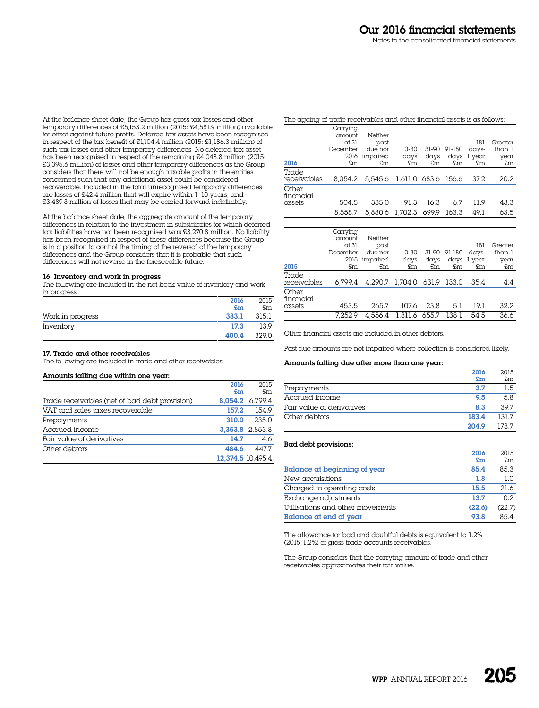At the balance sheet date, the Group has gross tax losses and other temporary differences of £5,153.2 million (2015: £4,581.9 million) available for offset against future profits. Deferred tax assets have been recognised in respect of the tax benefit of £1,104.4 million (2015: £1,186.3 million) of such tax losses and other temporary differences. No deferred tax asset has been recognised in respect of the remaining £4,048.8 million (2015: £3,395.6 million) of losses and other temporary differences as the Group considers that there will not be enough taxable profits in the entities concerned such that any additional asset could be considered recoverable. Included in the total unrecognised temporary differences are losses of £42.4 million that will expire within 1–10 years, and £3,489.3 million of losses that may be carried forward indefinitely.

At the balance sheet date, the aggregate amount of the temporary differences in relation to the investment in subsidiaries for which deferred tax liabilities have not been recognised was £3,270.8 million. No liability has been recognised in respect of these differences because the Group is in  $\alpha$  position to control the timing of the reversal of the temporary differences and the Group considers that it is probable that such differences will not reverse in the foreseeable future.

#### 16. Inventory and work in progress

The following are included in the net book value of inventory and work in progress:

|                  | 2016  | 2015  |
|------------------|-------|-------|
|                  | $5$ m | £m    |
| Work in progress | 383.1 | 315.1 |
| Inventory        | 17.3  | 13.9  |
|                  | 400.4 | 329 O |

## 17. Trade and other receivables

The following are included in trade and other receivables:

| Amounts falling due within one year: |  |  |  |  |  |
|--------------------------------------|--|--|--|--|--|
|--------------------------------------|--|--|--|--|--|

|                                               | 2016  | 2015              |
|-----------------------------------------------|-------|-------------------|
|                                               | £m    | £m                |
| Trade receivables (net of bad debt provision) |       | 8.054.2 6.799.4   |
| VAT and sales taxes recoverable               | 157.2 | 154.9             |
| Prepayments                                   | 310.0 | 235.0             |
| Accrued income                                |       | 3.353.8 2.853.8   |
| Fair value of derivatives                     | 14.7  | 4.6               |
| Other debtors                                 | 484.6 | 447.7             |
|                                               |       | 12,374.5 10,495.4 |

| The ageing of trade receivables and other financial assets is as follows: |          |          |                             |       |        |             |         |
|---------------------------------------------------------------------------|----------|----------|-----------------------------|-------|--------|-------------|---------|
|                                                                           | Carrying |          |                             |       |        |             |         |
|                                                                           | amount   | Neither  |                             |       |        |             |         |
|                                                                           | $ct$ 31  | past     |                             |       |        | 181         | Greater |
|                                                                           | December | due nor  | $0 - 30$                    | 31-90 | 91-180 | days-       | than 1  |
|                                                                           | 2016     | impaired | days                        | davs  |        | days 1 year | year    |
| 2016                                                                      | £m       | £m       | £m                          | £m    | £m     | £m          | £m      |
| Trade                                                                     |          |          |                             |       |        |             |         |
| receivables                                                               | 8.054.2  |          | 5,545.6 1,611.0 683.6 156.6 |       |        | 37.2        | 20.2    |
| Other<br>financial                                                        |          |          |                             |       |        |             |         |
| assets                                                                    | 504.5    | 335.0    | 91.3                        | 16.3  | 6.7    | 11.9        | 43.3    |
|                                                                           | 8.558.7  |          | 5.880.6 1.702.3             | 699.9 | 163.3  | 49.1        | 63.5    |

| 2015                         | Carrying<br>amount<br>at 31<br>December<br>2015<br>£m | Neither<br>past<br>due nor<br>impaired<br>£m | $0 - 30$<br>days<br>£m.     | days<br>$\mathfrak{m}$ | 31-90 91-180<br>£m | 181<br>days-<br>days 1 year<br>$\mathfrak{m}$ | Greater<br>than 1<br>year<br>£m |
|------------------------------|-------------------------------------------------------|----------------------------------------------|-----------------------------|------------------------|--------------------|-----------------------------------------------|---------------------------------|
| Trade<br>receivables         | 6.799.4                                               |                                              | 4,290.7 1,704.0 631.9 133.0 |                        |                    | 35.4                                          | 4.4                             |
| Other<br>financial<br>assets | 453.5                                                 | 265.7                                        | 107.6                       | 23.8                   | 5.1                | 19.1                                          | 32.2                            |
|                              | 7.252.9                                               |                                              | 4.556.4 1.811.6 655.7 138.1 |                        |                    | 54.5                                          | 36.6                            |

Other financial assets are included in other debtors.

Past due amounts are not impaired where collection is considered likely.

#### Amounts falling due after more than one year:

|                           | 2016  | 2015 |
|---------------------------|-------|------|
|                           | £m    | £m   |
| Prepayments               | 3.7   | 1.5  |
| Accrued income            | 9.5   | 5.8  |
| Fair value of derivatives | 8.3   | 39.7 |
| Other debtors             | 183.4 | 1317 |
|                           | 204.9 | 1787 |

### Bad debt provisions:

|                                  | 20.U<br>£m | 7.11.7<br>£m |
|----------------------------------|------------|--------------|
| Balance at beginning of year     | 85.4       | 85.3         |
| New acquisitions                 | 1.8        | 1 ∩          |
| Charged to operating costs       | 15.5       | 21.6         |
| Exchange adjustments             | 13.7       | O 2          |
| Utilisations and other movements | (22.6)     | (22.7)       |
| Balance at end of year           | 93.8       | 854          |

The allowance for bad and doubtful debts is equivalent to 1.2% (2015: 1.2%) of gross trade accounts receivables.

The Group considers that the carrying amount of trade and other receivables approximates their fair value.

2016

 $2015$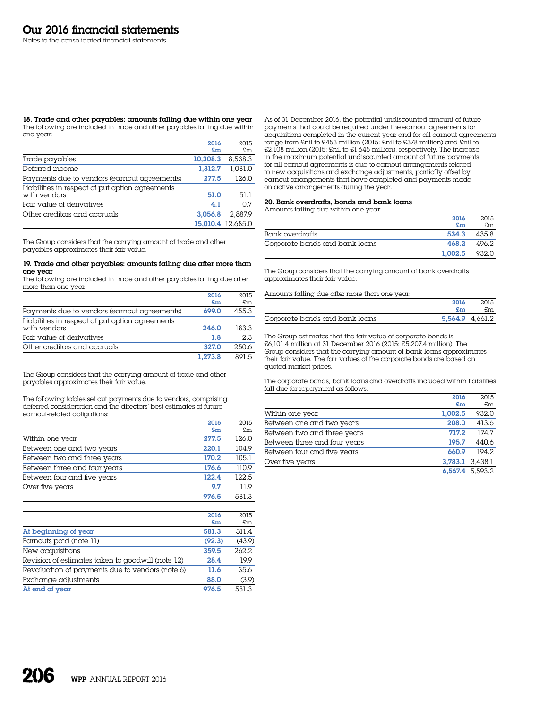#### 18. Trade and other payables: amounts falling due within one year The following are included in trade and other payables falling due within one year:

|                                                                 | 2016     | 2015              |
|-----------------------------------------------------------------|----------|-------------------|
|                                                                 | £m       | £m                |
| Trade payables                                                  | 10,308.3 | 8.538.3           |
| Deferred income                                                 | 1.312.7  | 1.081.0           |
| Payments due to vendors (earnout agreements)                    | 277.5    | 126.0             |
| Liabilities in respect of put option agreements<br>with vendors | 51.0     | 51.1              |
| Fair value of derivatives                                       | 4.1      | 0.7               |
| Other creditors and accruals                                    | 3.056.8  | 2.887.9           |
|                                                                 |          | 15.010.4 12.685.0 |

The Group considers that the carrying amount of trade and other payables approximates their fair value.

#### 19. Trade and other payables: amounts falling due after more than one year

The following are included in trade and other payables falling due after more than one year:

|                                                 | 2016    | 2015  |
|-------------------------------------------------|---------|-------|
|                                                 | £m      | £m    |
| Payments due to vendors (earnout agreements)    | 699.0   | 455.3 |
| Liabilities in respect of put option agreements |         |       |
| with vendors                                    | 246.0   | 183.3 |
| Fair value of derivatives                       | 1.8     | 2.3   |
| Other creditors and accruals                    | 327.0   | 2506  |
|                                                 | 1.273.8 | 891.5 |

The Group considers that the carrying amount of trade and other payables approximates their fair value.

The following tables set out payments due to vendors, comprising deferred consideration and the directors' best estimates of future earnout-related obligations:

|                              | 2016  | 2015  |
|------------------------------|-------|-------|
|                              | £m    | £m    |
| Within one year              | 277.5 | 126.0 |
| Between one and two years    | 220.1 | 104.9 |
| Between two and three years  | 170.2 | 105.1 |
| Between three and four years | 176.6 | 110.9 |
| Between four and five years  | 122.4 | 122.5 |
| Over five years              | 9.7   | 119   |
|                              | 976.5 | 581.3 |

|                                                   | 2016   | 2015   |
|---------------------------------------------------|--------|--------|
|                                                   | £m     | £m     |
| At beginning of year                              | 581.3  | 311.4  |
| Earnouts paid (note 11)                           | (92.3) | (43.9) |
| New acquisitions                                  | 359.5  | 262.2  |
| Revision of estimates taken to goodwill (note 12) | 28.4   | 19.9   |
| Revaluation of payments due to vendors (note 6)   | 11.6   | 35.6   |
| Exchange adjustments                              | 88.0   | (3.9)  |
| At end of year                                    | 976.5  | 581.3  |

As of 31 December 2016, the potential undiscounted amount of future payments that could be required under the earnout agreements for acquisitions completed in the current year and for all earnout agreements range from £nil to £453 million (2015: £nil to £378 million) and £nil to £2,108 million (2015: £nil to £1,645 million), respectively. The increase in the maximum potential undiscounted amount of future payments for all earnout agreements is due to earnout arrangements related to new acquisitions and exchange adjustments, partially offset by earnout arrangements that have completed and payments made on active arrangements during the year.

# 20. Bank overdrafts, bonds and bank loans

Amounts falling due within one year:

|                                | 2016    | 2015  |
|--------------------------------|---------|-------|
|                                | £m      | £m    |
| Bank overdrafts                | 534.3   | 4358  |
| Corporate bonds and bank loans | 468.2   | 496.2 |
|                                | 1.002.5 | 932.0 |

The Group considers that the carrying amount of bank overdrafts approximates their fair value.

| Amounts falling due after more than one year: |  |  |  |  |
|-----------------------------------------------|--|--|--|--|
|                                               |  |  |  |  |

|                                | 2016 | 2015            |
|--------------------------------|------|-----------------|
|                                | £m   | .Sm             |
| Corporate bonds and bank loans |      | 5.564.9 4.661.2 |

The Group estimates that the fair value of corporate bonds is £6,101.4 million at 31 December 2016 (2015: £5,207.4 million). The Group considers that the carrying amount of bank loans approximates their fair value. The fair values of the corporate bonds are based on quoted market prices.

The corporate bonds, bank loans and overdrafts included within liabilities fall due for repayment as follows:

|                              | 2016            | 2015            |
|------------------------------|-----------------|-----------------|
|                              | £m              | £m              |
| Within one year              | 1,002.5         | 932.0           |
| Between one and two years    | 208.0           | 413.6           |
| Between two and three years  | 717.2           | 174.7           |
| Between three and four years | 195.7           | 440.6           |
| Between four and five years  | 660.9           | 194.2           |
| Over five years              | 3.783.1 3.438.1 |                 |
|                              |                 | 6,567.4 5,593.2 |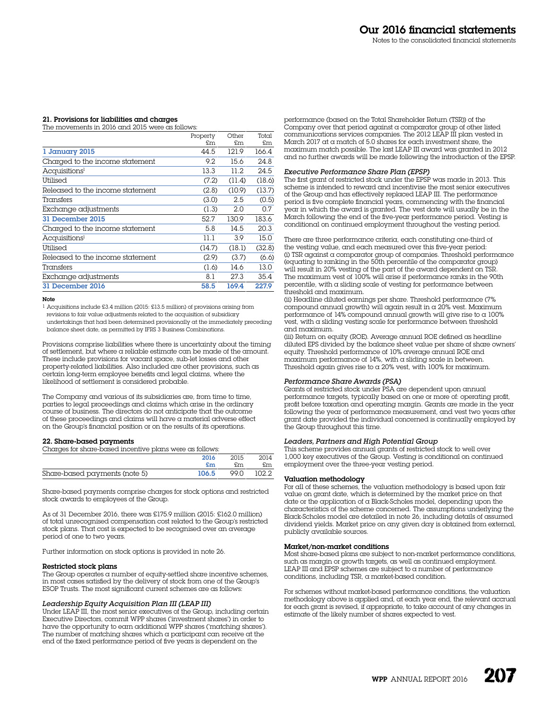# 21. Provisions for liabilities and charges

The movements in 2016 and 2015 were as follows:

|                                  | Property | Other  | Total  |
|----------------------------------|----------|--------|--------|
|                                  | £m       | £m     | £m     |
| 1 January 2015                   | 44.5     | 121.9  | 166.4  |
| Charged to the income statement  | 9.2      | 15.6   | 24.8   |
| Acquisitions <sup>1</sup>        | 13.3     | 11.2.  | 24.5   |
| Utilised                         | (7.2)    | (11.4) | (18.6) |
| Released to the income statement | (2.8)    | (10.9) | (13.7) |
| Transfers                        | (3.0)    | 2.5    | (0.5)  |
| Exchange adjustments             | (1.3)    | 2.0    | 0.7    |
| 31 December 2015                 | 52.7     | 130.9  | 183.6  |
| Charged to the income statement  | 5.8      | 14.5   | 20.3   |
| Acquisitions <sup>1</sup>        | 11.1     | 3.9    | 15.0   |
| Utilised                         | (14.7)   | (18.1) | (32.8) |
| Released to the income statement | (2.9)    | (3.7)  | (6.6)  |
| Transfers                        | (1.6)    | 14.6   | 13.0   |
| Exchange adjustments             | 8.1      | 27.3   | 35.4   |
| 31 December 2016                 | 58.5     | 169.4  | 227.9  |
|                                  |          |        |        |

#### Note

1 Acquisitions include £3.4 million (2015: £13.5 million) of provisions arising from revisions to fair value adjustments related to the acquisition of subsidiary undertakings that had been determined provisionally at the immediately preceding balance sheet date, as permitted by IFRS 3 Business Combinations.

Provisions comprise liabilities where there is uncertainty about the timing of settlement, but where a reliable estimate can be made of the amount. These include provisions for vacant space, sub-let losses and other property-related liabilities. Also included are other provisions, such as certain long-term employee benefits and legal claims, where the likelihood of settlement is considered probable.

The Company and various of its subsidiaries are, from time to time, parties to legal proceedings and claims which arise in the ordinary course of business. The directors do not anticipate that the outcome of these proceedings and claims will have a material adverse effect on the Group's financial position or on the results of its operations.

# 22. Share-based payments

Charges for share-based incentive plans were as follows:

|                               | 2016  | 2015 | 2014       |
|-------------------------------|-------|------|------------|
|                               | f.m   | f.m  | £m         |
| Share-based payments (note 5) | 106.5 |      | 99.0 102.2 |

Share-based payments comprise charges for stock options and restricted stock awards to employees of the Group.

As of 31 December 2016, there was £175.9 million (2015: £162.0 million) of total unrecognised compensation cost related to the Group's restricted stock plans. That cost is expected to be recognised over an average period of one to two years.

Further information on stock options is provided in note 26.

#### Restricted stock plans

The Group operates a number of equity-settled share incentive schemes, in most cases satisfied by the delivery of stock from one of the Group's ESOP Trusts. The most significant current schemes are as follows:

## *Leadership Equity Acquisition Plan III (LEAP III)*

Under LEAP III, the most senior executives of the Group, including certain Executive Directors, commit WPP shares ('investment shares') in order to have the opportunity to earn additional WPP shares ('matching shares'). The number of matching shares which a participant can receive at the end of the fixed performance period of five years is dependent on the

performance (based on the Total Shareholder Return (TSR)) of the Company over that period against a comparator group of other listed communications services companies. The 2012 LEAP III plan vested in March 2017 at a match of 5.0 shares for each investment share, the maximum match possible. The last LEAP III award was granted in 2012 and no further awards will be made following the introduction of the EPSP.

#### *Executive Performance Share Plan (EPSP)*

The first grant of restricted stock under the EPSP was made in 2013. This scheme is intended to reward and incentivise the most senior executives of the Group and has effectively replaced LEAP III. The performance period is five complete financial years, commencing with the financial year in which the award is granted. The vest date will usually be in the March following the end of the five-year performance period. Vesting is conditional on continued employment throughout the vesting period.

There are three performance criteria, each constituting one-third of the vesting value, and each measured over this five-year period: (i) TSR against a comparator group of companies. Threshold performance (equating to ranking in the 50th percentile of the comparator group) will result in 20% vesting of the part of the award dependent on TSR. The maximum vest of 100% will arise if performance ranks in the 90th percentile, with a sliding scale of vesting for performance between threshold and maximum.

(ii) Headline diluted earnings per share. Threshold performance (7% compound annual growth) will again result in a 20% vest. Maximum performance of  $14\%$  compound annual growth will give rise to a  $100\%$ vest, with a sliding vesting scale for performance between threshold and maximum.

(iii) Return on equity (ROE). Average annual ROE defined as headline diluted EPS divided by the balance sheet value per share of share owners' equity. Threshold performance of 10% average annual ROE and maximum performance of 14%, with a sliding scale in between. Threshold again gives rise to a 20% vest, with 100% for maximum.

# *Performance Share Awards (PSA)*

Grants of restricted stock under PSA are dependent upon annual performance targets, typically based on one or more of: operating profit, profit before taxation and operating margin. Grants are made in the year following the year of performance measurement, and vest two years after grant date provided the individual concerned is continually employed by the Group throughout this time.

#### *Leaders, Partners and High Potential Group*

This scheme provides annual grants of restricted stock to well over 1,000 key executives of the Group. Vesting is conditional on continued employment over the three-year vesting period.

# Valuation methodology

For all of these schemes, the valuation methodology is based upon fair value on grant date, which is determined by the market price on that date or the application of a Black-Scholes model, depending upon the characteristics of the scheme concerned. The assumptions underlying the Black-Scholes model are detailed in note 26, including details of assumed dividend yields. Market price on any given day is obtained from external, publicly available sources.

#### Market/non-market conditions

Most share-based plans are subject to non-market performance conditions, such as margin or growth targets, as well as continued employment. LEAP III and EPSP schemes are subject to a number of performance conditions, including TSR, a market-based condition.

For schemes without market-based performance conditions, the valuation methodology above is applied and, at each year end, the relevant accrual for each grant is revised, if appropriate, to take account of any changes in estimate of the likely number of shares expected to vest.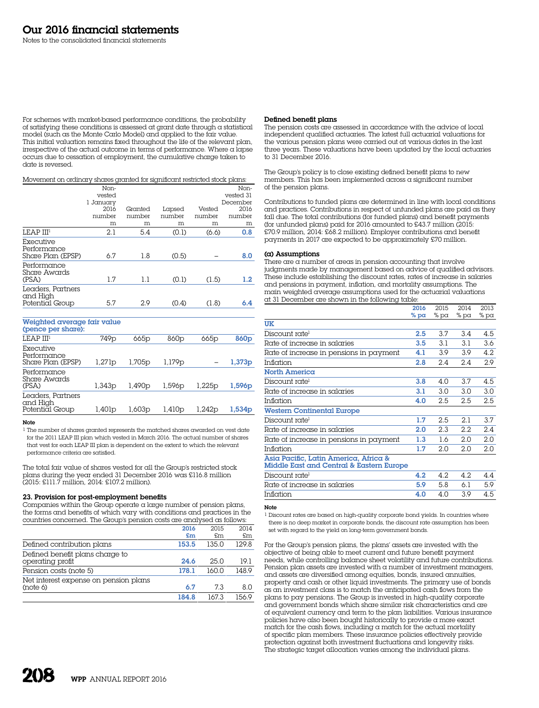For schemes with market-based performance conditions, the probability of satisfying these conditions is assessed at grant date through a statistical model (such as the Monte Carlo Model) and applied to the fair value. This initial valuation remains fixed throughout the life of the relevant plan, irrespective of the actual outcome in terms of performance. Where a lapse occurs due to cessation of employment, the cumulative charge taken to date is reversed.

Movement on ordinary shares granted for significant restricted stock plans:

|                                                  | Non-      |         |        |        | Non-      |
|--------------------------------------------------|-----------|---------|--------|--------|-----------|
|                                                  | vested    |         |        |        | vested 31 |
|                                                  | 1 Januarv |         |        |        | December  |
|                                                  | 2016      | Granted | Lapsed | Vested | 2016      |
|                                                  | number    | number  | number | number | number    |
|                                                  | m         | m       | m      | m      | m         |
| LEAP III <sup>1</sup>                            | 2.1       | 5.4     | (0.1)  | (6.6)  | 0.8       |
| Executive<br>Performance<br>Share Plan (EPSP)    | 6.7       | 1.8     | (0.5)  |        | 8.0       |
| Performance<br>Share Awards<br>(PSA)             | 1.7       | 1.1     | (0.1)  | (1.5)  | 1.2       |
| Leaders, Partners<br>and High<br>Potential Group | 5.7       | 2.9     | (0.4)  | (1.8)  | 6.4       |

Weighted average fair value

| (pence per share):                               |                  |                    |                  |                  |                    |
|--------------------------------------------------|------------------|--------------------|------------------|------------------|--------------------|
| LEAP III <sup>1</sup>                            | 749 <sub>p</sub> | 665p               | 860 <sub>p</sub> | 665 <sub>p</sub> | 860 <sub>p</sub>   |
| Executive<br>Performance<br>Share Plan (EPSP)    | 1,271p           | 1,705p             | 1,179p           |                  | 1,373p             |
| Performance<br>Share Awards<br>(PSA)             | 1,343p           | 1.490 <sub>p</sub> | 1,596p           | 1.225p           | 1,596 <sub>p</sub> |
| Leaders, Partners<br>and High<br>Potential Group | 1,401p           | 1,603p             | 1,410p           | 1.242p           | 1,534p             |

# Note

1 The number of shares granted represents the matched shares awarded on vest date for the 2011 LEAP III plan which vested in March 2016. The actual number of shares that vest for each LEAP III plan is dependent on the extent to which the relevant performance criteria are satisfied.

The total fair value of shares vested for all the Group's restricted stock plans during the year ended 31 December 2016 was £116.8 million (2015: £111.7 million, 2014: £107.2 million).

# 23. Provision for post-employment benefits

Companies within the Group operate  $\alpha$  large number of pension plans, the forms and benefits of which vary with conditions and practices in the countries concerned. The Group's pension costs are analysed as follows:

|                                                     | 2016  | 2015  | 2014  |
|-----------------------------------------------------|-------|-------|-------|
|                                                     | £m    | \$m\$ | £m    |
| Defined contribution plans                          | 153.5 | 135.0 | 129.8 |
| Defined benefit plans charge to<br>operating profit | 24.6  | 25.0  | 19.1  |
| Pension costs (note 5)                              | 178.1 | 160 O | 148.9 |
| Net interest expense on pension plans<br>(note 6)   | 6.7   | 73    | 8.0   |
|                                                     | 184.8 | 1673  | 1569  |

#### Defined benefit plans

The pension costs are assessed in accordance with the advice of local independent qualified actuaries. The latest full actuarial valuations for the various pension plans were carried out at various dates in the last three years. These valuations have been updated by the local actuaries to 31 December 2016.

The Group's policy is to close existing defined benefit plans to new members. This has been implemented across a significant number of the pension plans.

Contributions to funded plans are determined in line with local conditions and practices. Contributions in respect of unfunded plans are paid as they fall due. The total contributions (for funded plans) and benefit payments (for unfunded plans) paid for 2016 amounted to £43.7 million (2015: £70.9 million, 2014: £68.2 million). Employer contributions and benefit payments in 2017 are expected to be approximately £70 million.

# (a) Assumptions

There are a number of areas in pension accounting that involve judgments made by management based on advice of qualified advisors. These include establishing the discount rates, rates of increase in salaries and pensions in payment, inflation, and mortality assumptions. The main weighted average assumptions used for the actuarial valuations at 31 December are shown in the following table:  $201$ 

|                                                                                   | 2016   | 2015 | 2014 | 2013 |
|-----------------------------------------------------------------------------------|--------|------|------|------|
|                                                                                   | % $pa$ | % pa | % pa | % pa |
| UK                                                                                |        |      |      |      |
| Discount rate <sup>1</sup>                                                        | 2.5    | 3.7  | 3.4  | 4.5  |
| Rate of increase in salaries                                                      | 3.5    | 3.1  | 3.1  | 3.6  |
| Rate of increase in pensions in payment                                           | 4.1    | 3.9  | 3.9  | 4.2. |
| Inflation                                                                         | 2.8    | 2.4  | 2.4  | 2.9  |
| North America                                                                     |        |      |      |      |
| Discount rate <sup>l</sup>                                                        | 3.8    | 4.0  | 3.7  | 4.5  |
| Rate of increase in salaries                                                      | 3.1    | 3.0  | 3.0  | 3.0  |
| Inflation                                                                         | 4.0    | 2.5  | 2.5  | 2.5  |
| <b>Western Continental Europe</b>                                                 |        |      |      |      |
| Discount rate <sup>1</sup>                                                        | 1.7    | 2.5  | 2.1  | 3.7  |
| Rate of increase in salaries                                                      | 2.0    | 2.3  | 2.2  | 2.4  |
| Rate of increase in pensions in payment                                           | 1.3    | 1.6  | 2.0  | 2.0  |
| Inflation                                                                         | 1.7    | 2.0  | 2.0  | 2.0  |
| Asia Pacific, Latin America, Africa &<br>Middle East and Central & Eastern Europe |        |      |      |      |
| Discount rate <sup>1</sup>                                                        | 4.2    | 4.2  | 4.2  | 4.4  |
| Rate of increase in salaries                                                      | 5.9    | 5.8  | 6.1  | 5.9  |

#### Note

1 Discount rates are based on high-quality corporate bond yields. In countries where there is no deep market in corporate bonds, the discount rate assumption has been set with regard to the yield on long-term government bonds.

Inflation **4.0** 4.0 3.9 4.5

For the Group's pension plans, the plans' assets are invested with the objective of being able to meet current and future benefit payment needs, while controlling balance sheet volatility and future contributions. Pension plan assets are invested with a number of investment managers, and assets are diversified among equities, bonds, insured annuities, property and cash or other liquid investments. The primary use of bonds as an investment class is to match the anticipated cash flows from the plans to pay pensions. The Group is invested in high-quality corporate and government bonds which share similar risk characteristics and are of equivalent currency and term to the plan liabilities. Various insurance policies have also been bought historically to provide a more exact match for the cash flows, including a match for the actual mortality of specific plan members. These insurance policies effectively provide protection against both investment fluctuations and longevity risks. The strategic target allocation varies among the individual plans.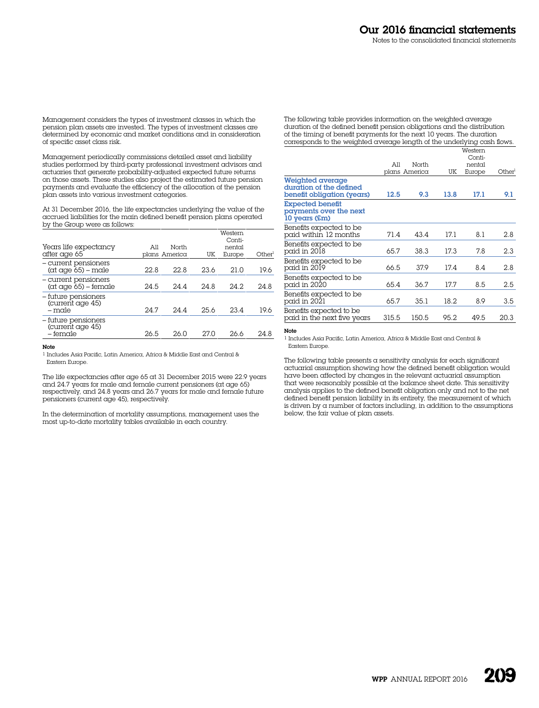Management considers the types of investment classes in which the pension plan assets are invested. The types of investment classes are determined by economic and market conditions and in consideration of specific asset class risk.

Management periodically commissions detailed asset and liability studies performed by third-party professional investment advisors and actuaries that generate probability-adjusted expected future returns on those assets. These studies also project the estimated future pension payments and evaluate the efficiency of the allocation of the pension plan assets into various investment categories.

At 31 December 2016, the life expectancies underlying the value of the accrued liabilities for the main defined benefit pension plans operated by the Group were as follows:

| Years life expectancy<br>after age 65                              | All  | North<br>plans America | UK   | Western<br>Conti-<br>nental<br>Europe | Other <sup>1</sup> |
|--------------------------------------------------------------------|------|------------------------|------|---------------------------------------|--------------------|
| – current pensioners<br>$(\alpha t \alpha q e 65) - \alpha d e$    | 22.8 | 22.8                   | 23.6 | 21.0                                  | 19.6               |
| - current pensioners<br>$(\alpha t \alpha q e 65) - \text{female}$ | 24.5 | 24.4                   | 24.8 | 24.2                                  | 24.8               |
| - future pensioners<br>(current age 45)<br>$-$ male                | 24.7 | 244                    | 25.6 | 23.4                                  | 19.6               |
| - future pensioners<br>(current age 45)<br>– female                | 26.5 | 26.0                   | 27 O | 26.6                                  | 24.8               |

#### Note

1 Includes Asia Pacific, Latin America, Africa & Middle East and Central & Eastern Europe.

The life expectancies after age 65 at 31 December 2015 were 22.9 years and 24.7 years for male and female current pensioners (at age 65) respectively, and 24.8 years and 26.7 years for male and female future pensioners (current age 45), respectively.

In the determination of mortality assumptions, management uses the most up-to-date mortality tables available in each country.

The following table provides information on the weighted average duration of the defined benefit pension obligations and the distribution of the timing of benefit payments for the next 10 years. The duration corresponds to the weighted average length of the underlying cash flows.

|                                                                           | All   | North<br>plans America | UK   | Western<br>Conti-<br>nental<br>Europe | Otherl |
|---------------------------------------------------------------------------|-------|------------------------|------|---------------------------------------|--------|
| Weighted average<br>duration of the defined<br>benefit obligation (years) | 12.5  | 9.3                    | 13.8 | 17.1                                  | 9.1    |
| <b>Expected benefit</b><br>payments over the next<br>10 years (£m)        |       |                        |      |                                       |        |
| Benefits expected to be<br>paid within 12 months                          | 71.4  | 43.4                   | 17.1 | 8.1                                   | 2.8    |
| Benefits expected to be<br>paid in 2018                                   | 65.7  | 38.3                   | 17.3 | 7.8                                   | 2.3    |
| Benefits expected to be<br>paid in 2019                                   | 66.5  | 37.9                   | 17.4 | 8.4                                   | 2.8    |
| Benefits expected to be<br>paid in 2020                                   | 65.4  | 36.7                   | 17.7 | 8.5                                   | 2.5    |
| Benefits expected to be<br>paid in 2021                                   | 65.7  | 35.1                   | 18.2 | 8.9                                   | 3.5    |
| Benefits expected to be<br>paid in the next five years                    | 315.5 | 150.5                  | 95.2 | 49.5                                  | 20.3   |

# Note

1 Includes Asia Pacific, Latin America, Africa & Middle East and Central & Eastern Europe.

The following table presents a sensitivity analysis for each significant actuarial assumption showing how the defined benefit obligation would have been affected by changes in the relevant actuarial assumption that were reasonably possible at the balance sheet date. This sensitivity analysis applies to the defined benefit obligation only and not to the net defined benefit pension liability in its entirety, the measurement of which is driven by a number of factors including, in addition to the assumptions below, the fair value of plan assets.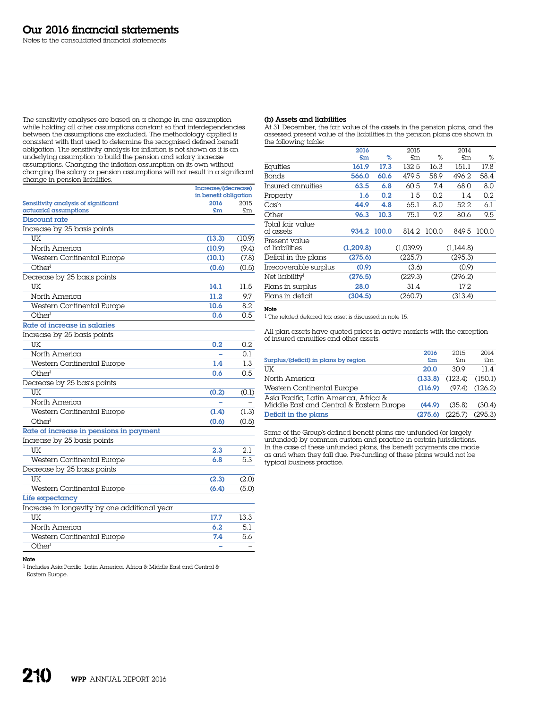The sensitivity analyses are based on a change in one assumption while holding all other assumptions constant so that interdependencies between the assumptions are excluded. The methodology applied is consistent with that used to determine the recognised defined benefit obligation. The sensitivity analysis for inflation is not shown as it is an underlying assumption to build the pension and salary increase assumptions. Changing the inflation assumption on its own without changing the salary or pension assumptions will not result in a significant change in pension liabilities.

|                                              | Increase/(decrease)<br>in benefit obligation |        |  |
|----------------------------------------------|----------------------------------------------|--------|--|
| Sensitivity analysis of significant          | 2016                                         | 2015   |  |
| actuarial assumptions                        | £m                                           | £m     |  |
| Discount rate                                |                                              |        |  |
| Increase by 25 basis points                  |                                              |        |  |
| UK                                           | (13.3)                                       | (10.9) |  |
| North America                                | (10.9)                                       | (9.4)  |  |
| Western Continental Europe                   | (10.1)                                       | (7.8)  |  |
| Other <sup>1</sup>                           | (0.6)                                        | (0.5)  |  |
| Decrease by 25 basis points                  |                                              |        |  |
| UK                                           | 14.1                                         | 11.5   |  |
| North America                                | 11.2                                         | 9.7    |  |
| Western Continental Europe                   | 10.6                                         | 8.2    |  |
| Otherl                                       | 0.6                                          | 0.5    |  |
| Rate of increase in salaries                 |                                              |        |  |
| Increase by 25 basis points                  |                                              |        |  |
| UK                                           | 0.2                                          | 0.2    |  |
| North America                                |                                              | 0.1    |  |
| Western Continental Europe                   | 1.4                                          | 1.3    |  |
| Otherl                                       | 0.6                                          | 0.5    |  |
| Decrease by 25 basis points                  |                                              |        |  |
| UK                                           | (0.2)                                        | (0.1)  |  |
| North America                                |                                              |        |  |
| Western Continental Europe                   | (1.4)                                        | (1.3)  |  |
| Other <sup>1</sup>                           | (0.6)                                        | (0.5)  |  |
| Rate of increase in pensions in payment      |                                              |        |  |
| Increase by 25 basis points                  |                                              |        |  |
| UK                                           | 2.3                                          | 2.1    |  |
| Western Continental Europe                   | 6.8                                          | 5.3    |  |
| Decrease by 25 basis points                  |                                              |        |  |
| UK                                           | (2.3)                                        | (2.0)  |  |
| Western Continental Europe                   | (6.4)                                        | (5.0)  |  |
| Life expectancy                              |                                              |        |  |
| Increase in longevity by one additional year |                                              |        |  |
| UK                                           | 17.7                                         | 13.3   |  |
| North America                                | 6.2                                          | 5.1    |  |
| Western Continental Europe                   | 7.4                                          | 5.6    |  |
| Otherl                                       |                                              |        |  |

#### Note

1 Includes Asia Pacific, Latin America, Africa & Middle East and Central & Eastern Europe.

# (b) Assets and liabilities

At 31 December, the fair value of the assets in the pension plans, and the assessed present value of the liabilities in the pension plans are shown in the following table:

|                                 | 2016       |       | 2015        |      | 2014      |       |
|---------------------------------|------------|-------|-------------|------|-----------|-------|
|                                 | £m         | %     | £m          | %    | £m        | %     |
| Equities                        | 161.9      | 17.3  | 132.5       | 16.3 | 151.1     | 17.8  |
| Bonds                           | 566.0      | 60.6  | 479.5       | 58.9 | 496.2     | 58.4  |
| Insured annuities               | 63.5       | 6.8   | 60.5        | 7.4  | 68.0      | 8.0   |
| Property                        | 1.6        | 0.2   | 1.5         | 0.2  | 1.4       | 0.2   |
| Cash                            | 44.9       | 4.8   | 65.1        | 8.0  | 52.2      | 6.1   |
| Other                           | 96.3       | 10.3  | 75.1        | 9.2  | 80.6      | 9.5   |
| Total fair value<br>of assets   | 934.2      | 100.0 | 814.2 100.0 |      | 849.5     | 100.0 |
| Present value<br>of liabilities | (1, 209.8) |       | (1,039.9)   |      | (1,144.8) |       |
| Deficit in the plans            | (275.6)    |       | (225.7)     |      | (295.3)   |       |
| Irrecoverable surplus           | (0.9)      |       | (3.6)       |      | (0.9)     |       |
| Net liability <sup>1</sup>      | (276.5)    |       | (229.3)     |      | (296.2)   |       |
| Plans in surplus                | 28.0       |       | 31.4        |      | 17.2      |       |
| Plans in deficit                | (304.5)    |       | (260.7)     |      | (313.4)   |       |

# Note

1 The related deferred tax asset is discussed in note 15.

All plan assets have quoted prices in active markets with the exception of insured annuities and other assets.

|                                                                                   | 2016    | 2015           | 2014    |
|-----------------------------------------------------------------------------------|---------|----------------|---------|
| Surplus/(deficit) in plans by region                                              | $5$ m   | $\mathsf{F}$ m | £m      |
| UΚ                                                                                | 20.0    | 30.9           | 11.4    |
| North America                                                                     | (133.8) | (123.4)        | (150.1) |
| Western Continental Europe                                                        | (116.9) | (97.4)         | (126.2) |
| Asia Pacific, Latin America, Africa &<br>Middle East and Central & Eastern Europe | (44.9)  | (35.8)         | (30.4)  |
| Deficit in the plans                                                              | (275.6) | (225.7)        | (295.3) |

Some of the Group's defined benefit plans are unfunded (or largely unfunded) by common custom and practice in certain jurisdictions. In the case of these unfunded plans, the benefit payments are made as and when they fall due. Pre-funding of these plans would not be typical business practice.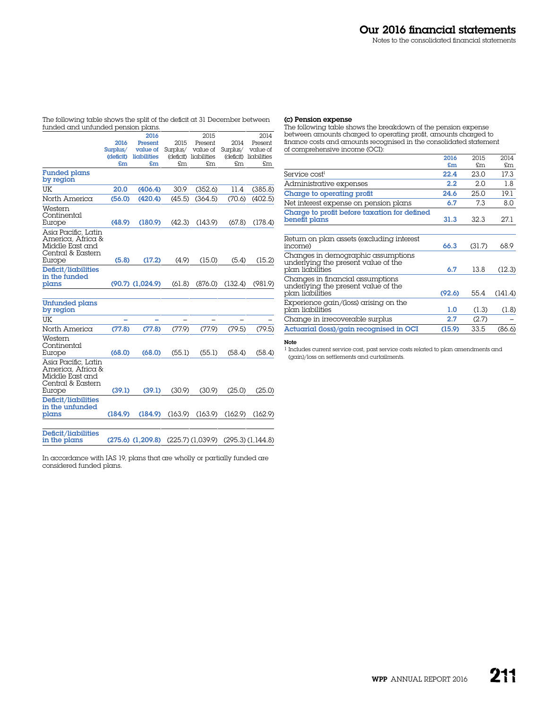The following table shows the split of the deficit at 31 December between funded and unfunded pension plans.

|                                                                                            |                       | 2016                    |          | 2015                              |          | 2014                              |
|--------------------------------------------------------------------------------------------|-----------------------|-------------------------|----------|-----------------------------------|----------|-----------------------------------|
|                                                                                            | 2016                  | Present                 | 2015     | Present                           | 2014     | Present                           |
|                                                                                            | Surplus/<br>(deficit) | value of<br>liabilities | Surplus/ | value of<br>(deficit) liabilities | Surplus/ | value of<br>(deficit) liabilities |
|                                                                                            | £m                    | £m                      | £m.      | £m                                | £m.      | £m                                |
| <b>Funded plans</b><br>by region                                                           |                       |                         |          |                                   |          |                                   |
| UK                                                                                         | 20.0                  | (406.4)                 | 30.9     | (352.6)                           | 11.4     | (385.8)                           |
| North America                                                                              | (56.0)                | (420.4)                 | (45.5)   | (364.5)                           | (70.6)   | (402.5)                           |
| Western<br>Continental<br>Europe                                                           | (48.9)                | (180.9)                 | (42.3)   | (143.9)                           | (67.8)   | (178.4)                           |
| Asia Pacific, Latin<br>America, Africa &<br>Middle East and<br>Central & Eastern<br>Europe | (5.8)                 | (17.2)                  | (4.9)    | (15.0)                            | (5.4)    | (15.2)                            |
| Deficit/liabilities<br>in the funded<br>plans                                              |                       | $(90.7)$ $(1,024.9)$    | (61.8)   | (876.0)                           | (132.4)  | (981.9)                           |
| <b>Unfunded plans</b><br>by region                                                         |                       |                         |          |                                   |          |                                   |
| UK                                                                                         |                       |                         |          |                                   |          |                                   |
| North America                                                                              | (77.8)                | (77.8)                  | (77.9)   | (77.9)                            | (79.5)   | (79.5)                            |
| Western<br>Continental<br>Europe                                                           | (68.0)                | (68.0)                  | (55.1)   | (55.1)                            | (58.4)   | (58.4)                            |
| Asia Pacific, Latin<br>America, Africa &<br>Middle East and<br>Central & Eastern<br>Europe | (39.1)                | (39.1)                  | (30.9)   | (30.9)                            | (25.0)   | (25.0)                            |
|                                                                                            |                       |                         |          |                                   |          |                                   |

in the plans (275.6) (1,209.8) (225.7) (1,039.9) (295.3) (1,144.8)

In accordance with IAS 19, plans that are wholly or partially funded are considered funded plans.

# (c) Pension expense

The following table shows the breakdown of the pension expense between amounts charged to operating profit, amounts charged to finance costs and amounts recognised in the consolidated statement of comprehensive income (OCI):  $2014$  $2015$ 

|                                                                                               | 2016   | 2015   | 2014    |
|-----------------------------------------------------------------------------------------------|--------|--------|---------|
|                                                                                               | £m     | £m     | £m      |
| Service cost <sup>1</sup>                                                                     | 22.4   | 23.0   | 17.3    |
| Administrative expenses                                                                       | 2.2    | 2.0    | 1.8     |
| Charge to operating profit                                                                    | 24.6   | 25.0   | 19.1    |
| Net interest expense on pension plans                                                         | 6.7    | 7.3    | 8.0     |
| Charge to profit before taxation for defined<br>benefit plans                                 | 31.3   | 32.3   | 27.1    |
| Return on plan assets (excluding interest<br>income)                                          | 66.3   | (31.7) | 68.9    |
| Changes in demographic assumptions<br>underlying the present value of the<br>plan liabilities | 6.7    | 13.8   | (12.3)  |
| Changes in financial assumptions<br>underlying the present value of the<br>plan liabilities   | (92.6) | 55.4   | (141.4) |
| Experience gain/(loss) arising on the<br>plan liabilities                                     | 1.0    | (1.3)  | (1.8)   |
| Change in irrecoverable surplus                                                               | 2.7    | (2.7)  |         |
| Actuarial (loss)/gain recognised in OCI                                                       | (15.9) | 33.5   | (86.6)  |

# Note

1 Includes current service cost, past service costs related to plan amendments and (gain)/loss on settlements and curtailments.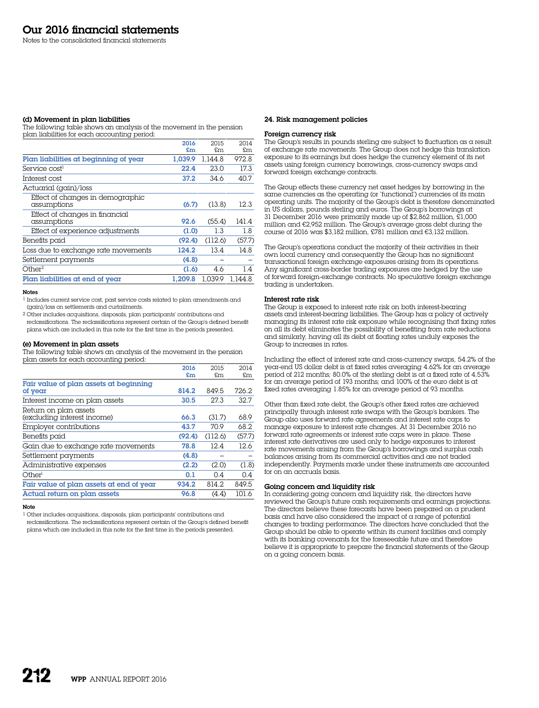#### (d) Movement in plan liabilities

The following table shows an analysis of the movement in the pension plan liabilities for each accounting period:

|                                                 | 2016    | 2015    | 2014    |
|-------------------------------------------------|---------|---------|---------|
|                                                 | £m      | £m      | £m      |
| Plan liabilities at beginning of year           | 1.039.9 | 1.144.8 | 972.8   |
| Service cost <sup>1</sup>                       | 22.4    | 23.0    | 17.3    |
| Interest cost                                   | 37.2    | 34.6    | 40.7    |
| Actuarial (gain)/loss                           |         |         |         |
| Effect of changes in demographic<br>assumptions | (6.7)   | (13.8)  | 12.3    |
| Effect of changes in financial<br>assumptions   | 92.6    | (55.4)  | 141.4   |
| Effect of experience adjustments                | (1.0)   | 13      | 1.8     |
| Benefits paid                                   | (92.4)  | (112.6) | (57.7)  |
| Loss due to exchange rate movements             | 124.2   | 13.4    | 14.8    |
| Settlement payments                             | (4.8)   |         |         |
| Other <sup>2</sup>                              | (1.6)   | 4.6     | 1.4     |
| Plan liabilities at end of year                 | 1.209.8 | 1.039.9 | 1.144.8 |
|                                                 |         |         |         |

#### Notes

1 Includes current service cost, past service costs related to plan amendments and (gain)/loss on settlements and curtailments.

2 Other includes acquisitions, disposals, plan participants' contributions and reclassifications. The reclassifications represent certain of the Group's defined benefit plans which are included in this note for the first time in the periods presented.

#### (e) Movement in plan assets

The following table shows an analysis of the movement in the pension plan assets for each accounting period:

|                                          | 2016   | 2015    | 2014   |
|------------------------------------------|--------|---------|--------|
|                                          | £m     | £m.     | £m     |
| Fair value of plan assets at beginning   |        |         |        |
| of year                                  | 814.2  | 849.5   | 726.2  |
| Interest income on plan assets           | 30.5   | 27.3    | 32.7   |
| Return on plan assets                    |        |         |        |
| (excluding interest income)              | 66.3   | (31.7)  | 68.9   |
| Employer contributions                   | 43.7   | 70.9    | 68.2   |
| Benefits paid                            | (92.4) | (112.6) | (57.7) |
| Gain due to exchange rate movements      | 78.8   | 12.4    | 12.6   |
| Settlement payments                      | (4.8)  |         |        |
| Administrative expenses                  | (2.2)  | (2.0)   | (1.8)  |
| Otherl                                   | 0.1    | 0.4     | 0.4    |
| Fair value of plan assets at end of year | 934.2  | 814.2   | 849.5  |
| Actual return on plan assets             | 96.8   | (4.4)   | 101.6  |

#### Note

1 Other includes acquisitions, disposals, plan participants' contributions and reclassifications. The reclassifications represent certain of the Group's defined benefit plans which are included in this note for the first time in the periods presented.

# 24. Risk management policies

# Foreign currency risk

The Group's results in pounds sterling are subject to fluctuation as a result of exchange rate movements. The Group does not hedge this translation exposure to its earnings but does hedge the currency element of its net assets using foreign currency borrowings, cross-currency swaps and forward foreign exchange contracts.

The Group effects these currency net asset hedges by borrowing in the same currencies as the operating (or 'functional') currencies of its main operating units. The majority of the Group's debt is therefore denominated in US dollars, pounds sterling and euros. The Group's borrowings at 31 December 2016 were primarily made up of \$2,862 million, £1,000 million and €2,952 million. The Group's average gross debt during the course of 2016 was \$3,182 million, £781 million and €3,132 million.

The Group's operations conduct the majority of their activities in their own local currency and consequently the Group has no significant transactional foreign exchange exposures arising from its operations. Any significant cross-border trading exposures are hedged by the use of forward foreign-exchange contracts. No speculative foreign exchange trading is undertaken.

#### Interest rate risk

The Group is exposed to interest rate risk on both interest-bearing assets and interest-bearing liabilities. The Group has a policy of actively managing its interest rate risk exposure while recognising that fixing rates on all its debt eliminates the possibility of benefiting from rate reductions and similarly, having all its debt at floating rates unduly exposes the Group to increases in rates.

Including the effect of interest rate and cross-currency swaps, 54.2% of the year-end US dollar debt is at fixed rates averaging 4.62% for an average period of 212 months; 80.0% of the sterling debt is at a fixed rate of 4.53% for an average period of 193 months; and 100% of the euro debt is at fixed rates averaging 1.85% for an average period of 93 months.

Other than fixed rate debt, the Group's other fixed rates are achieved principally through interest rate swaps with the Group's bankers. The Group also uses forward rate agreements and interest rate caps to manage exposure to interest rate changes. At 31 December 2016 no forward rate agreements or interest rate caps were in place. These interest rate derivatives are used only to hedge exposures to interest rate movements arising from the Group's borrowings and surplus cash balances arising from its commercial activities and are not traded independently. Payments made under these instruments are accounted for on an accruals basis.

# Going concern and liquidity risk

In considering going concern and liquidity risk, the directors have reviewed the Group's future cash requirements and earnings projections. The directors believe these forecasts have been prepared on  $\alpha$  prudent basis and have also considered the impact of a range of potential changes to trading performance. The directors have concluded that the Group should be able to operate within its current facilities and comply with its banking covenants for the foreseeable future and therefore believe it is appropriate to prepare the financial statements of the Group on a going concern basis.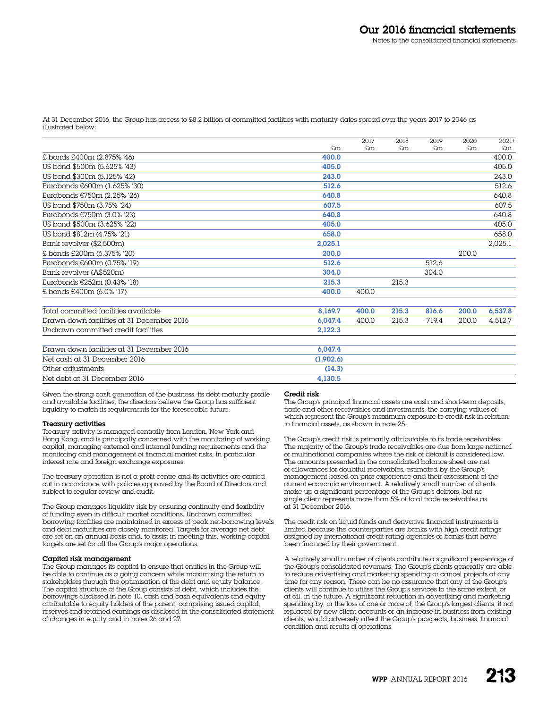At 31 December 2016, the Group has access to £8.2 billion of committed facilities with maturity dates spread over the years 2017 to 2046 as illustrated below:

|                                           |           | 2017  | 2018  | 2019  | 2020  | $2021+$ |
|-------------------------------------------|-----------|-------|-------|-------|-------|---------|
|                                           | £m        | £m    | £m    | £m    | £m    | £m      |
| £ bonds £400m (2.875% '46)                | 400.0     |       |       |       |       | 400.0   |
| US bond \$500m (5.625% '43)               | 405.0     |       |       |       |       | 405.0   |
| US bond \$300m (5.125% '42)               | 243.0     |       |       |       |       | 243.0   |
| Eurobonds €600m (1.625% '30)              | 512.6     |       |       |       |       | 512.6   |
| Eurobonds €750m (2.25% '26)               | 640.8     |       |       |       |       | 640.8   |
| US bond \$750m (3.75% '24)                | 607.5     |       |       |       |       | 607.5   |
| Eurobonds €750m (3.0% '23)                | 640.8     |       |       |       |       | 640.8   |
| US bond \$500m (3.625% '22)               | 405.0     |       |       |       |       | 405.0   |
| US bond \$812m (4.75% '21)                | 658.0     |       |       |       |       | 658.0   |
| Bank revolver (\$2.500m)                  | 2,025.1   |       |       |       |       | 2,025.1 |
| £ bonds £200m (6.375% '20)                | 200.0     |       |       |       | 200.0 |         |
| Eurobonds €600m (0.75% '19)               | 512.6     |       |       | 512.6 |       |         |
| Bank revolver (A\$520m)                   | 304.0     |       |       | 304.0 |       |         |
| Eurobonds €252m (0.43% '18)               | 215.3     |       | 215.3 |       |       |         |
| £ bonds £400m (6.0% '17)                  | 400.0     | 400.0 |       |       |       |         |
| Total committed facilities available      | 8.169.7   | 400.0 | 215.3 | 816.6 | 200,0 | 6,537.8 |
| Drawn down facilities at 31 December 2016 | 6,047.4   | 400.0 | 215.3 | 719.4 | 200.0 | 4,512.7 |
| Undrawn committed credit facilities       | 2,122.3   |       |       |       |       |         |
| Drawn down facilities at 31 December 2016 | 6,047.4   |       |       |       |       |         |
| Net cash at 31 December 2016              | (1,902.6) |       |       |       |       |         |
| Other adjustments                         | (14.3)    |       |       |       |       |         |
| Net debt at 31 December 2016              | 4.130.5   |       |       |       |       |         |

Given the strong cash generation of the business, its debt maturity profile and available facilities, the directors believe the Group has sufficient liquidity to match its requirements for the foreseeable future.

## Treasury activities

Treasury activity is managed centrally from London, New York and Hong Kong, and is principally concerned with the monitoring of working capital, managing external and internal funding requirements and the monitoring and management of financial market risks, in particular interest rate and foreign exchange exposures.

The treasury operation is not a profit centre and its activities are carried out in accordance with policies approved by the Board of Directors and subject to regular review and audit.

The Group manages liquidity risk by ensuring continuity and flexibility of funding even in difficult market conditions. Undrawn committed borrowing facilities are maintained in excess of peak net-borrowing levels and debt maturities are closely monitored. Targets for average net debt are set on an annual basis and, to assist in meeting this, working capital targets are set for all the Group's major operations.

# Capital risk management

The Group manages its capital to ensure that entities in the Group will be able to continue as a going concern while maximising the return to stakeholders through the optimisation of the debt and equity balance. The capital structure of the Group consists of debt, which includes the borrowings disclosed in note 10, cash and cash equivalents and equity attributable to equity holders of the parent, comprising issued capital, reserves and retained earnings as disclosed in the consolidated statement of changes in equity and in notes 26 and 27.

#### Credit risk

The Group's principal financial assets are cash and short-term deposits, trade and other receivables and investments, the carrying values of which represent the Group's maximum exposure to credit risk in relation to financial assets, as shown in note 25.

The Group's credit risk is primarily attributable to its trade receivables. The majority of the Group's trade receivables are due from large national or multinational companies where the risk of default is considered low. The amounts presented in the consolidated balance sheet are net of allowances for doubtful receivables, estimated by the Group's management based on prior experience and their assessment of the current economic environment. A relatively small number of clients make up a significant percentage of the Group's debtors, but no single client represents more than 5% of total trade receivables as at 31 December 2016.

The credit risk on liquid funds and derivative financial instruments is limited because the counterparties are banks with high credit ratings assigned by international credit-rating agencies or banks that have been financed by their government.

A relatively small number of clients contribute a significant percentage of the Group's consolidated revenues. The Group's clients generally are able to reduce advertising and marketing spending or cancel projects at any time for any reason. There can be no assurance that any of the Group's clients will continue to utilise the Group's services to the same extent, or at all, in the future. A significant reduction in advertising and marketing spending by, or the loss of one or more of, the Group's largest clients, if not replaced by new client accounts or an increase in business from existing clients, would adversely affect the Group's prospects, business, financial condition and results of operations.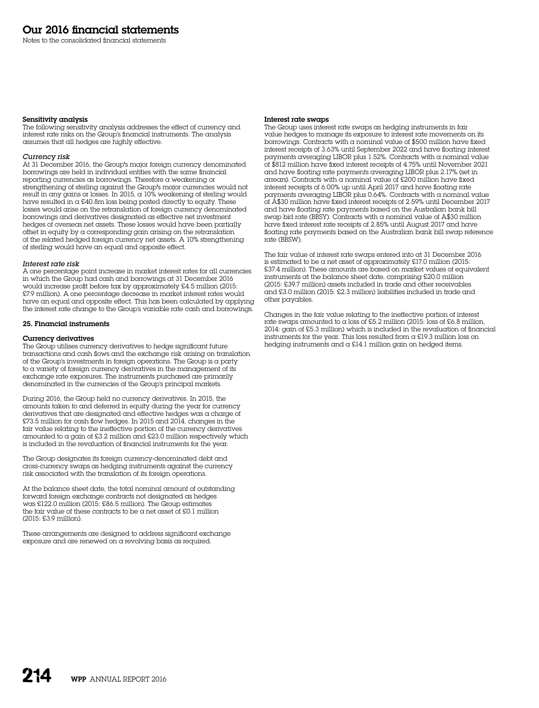Notes to the consolidated financial statements

# Sensitivity analysis

The following sensitivity analysis addresses the effect of currency and interest rate risks on the Group's financial instruments. The analysis assumes that all hedges are highly effective.

#### *Currency risk*

At 31 December 2016, the Group's major foreign currency denominated borrowings are held in individual entities with the same financial reporting currencies as borrowings. Therefore a weakening or strengthening of sterling against the Group's major currencies would not result in any gains or losses. In 2015, a 10% weakening of sterling would have resulted in  $\alpha$  £40.8m loss being posted directly to equity. These losses would arise on the retranslation of foreign currency denominated borrowings and derivatives designated as effective net investment hedges of overseas net assets. These losses would have been partially offset in equity by a corresponding gain arising on the retranslation of the related hedged foreign currency net assets. A 10% strengthening of sterling would have an equal and opposite effect.

#### *Interest rate risk*

A one percentage point increase in market interest rates for all currencies in which the Group had cash and borrowings at 31 December 2016 would increase profit before tax by approximately £4.5 million (2015: £7.9 million). A one percentage decrease in market interest rates would have an equal and opposite effect. This has been calculated by applying the interest rate change to the Group's variable rate cash and borrowings.

### 25. Financial instruments

#### Currency derivatives

The Group utilises currency derivatives to hedge significant future transactions and cash flows and the exchange risk arising on translation of the Group's investments in foreign operations. The Group is  $\alpha$  party to a variety of foreign currency derivatives in the management of its exchange rate exposures. The instruments purchased are primarily denominated in the currencies of the Group's principal markets.

During 2016, the Group held no currency derivatives. In 2015, the amounts taken to and deferred in equity during the year for currency derivatives that are designated and effective hedges was a charge of £73.5 million for cash flow hedges. In 2015 and 2014, changes in the fair value relating to the ineffective portion of the currency derivatives amounted to a gain of £3.2 million and £23.0 million respectively which is included in the revaluation of financial instruments for the year.

The Group designates its foreign currency-denominated debt and cross-currency swaps as hedging instruments against the currency risk associated with the translation of its foreign operations.

At the balance sheet date, the total nominal amount of outstanding forward foreign exchange contracts not designated as hedges was £122.0 million (2015: £86.5 million). The Group estimates the fair value of these contracts to be a net asset of £0.1 million (2015: £3.9 million).

These arrangements are designed to address significant exchange exposure and are renewed on a revolving basis as required.

#### Interest rate swaps

The Group uses interest rate swaps as hedging instruments in fair value hedges to manage its exposure to interest rate movements on its borrowings. Contracts with a nominal value of \$500 million have fixed interest receipts of 3.63% until September 2022 and have floating interest payments averaging LIBOR plus 1.52%. Contracts with a nominal value of \$812 million have fixed interest receipts of 4.75% until November 2021 and have floating rate payments averaging LIBOR plus 2.17% (set in arrears). Contracts with a nominal value of £200 million have fixed interest receipts of 6.00% up until April 2017 and have floating rate payments averaging LIBOR plus 0.64%. Contracts with a nominal value of A\$30 million have fixed interest receipts of 2.59% until December 2017 and have floating rate payments based on the Australian bank bill swap bid rate (BBSY). Contracts with a nominal value of  $A$30$  million have fixed interest rate receipts of 2.85% until August 2017 and have floating rate payments based on the Australian bank bill swap reference rate (BBSW).

The fair value of interest rate swaps entered into at 31 December 2016 is estimated to be a net asset of approximately £17.0 million (2015: £37.4 million). These amounts are based on market values of equivalent instruments at the balance sheet date, comprising £20.0 million (2015: £39.7 million) assets included in trade and other receivables and £3.0 million (2015: £2.3 million) liabilities included in trade and other payables.

Changes in the fair value relating to the ineffective portion of interest rate swaps amounted to a loss of £5.2 million (2015: loss of £6.8 million, 2014: gain of £5.3 million) which is included in the revaluation of financial instruments for the year. This loss resulted from  $\alpha$  £19.3 million loss on hedging instruments and a £14.1 million gain on hedged items.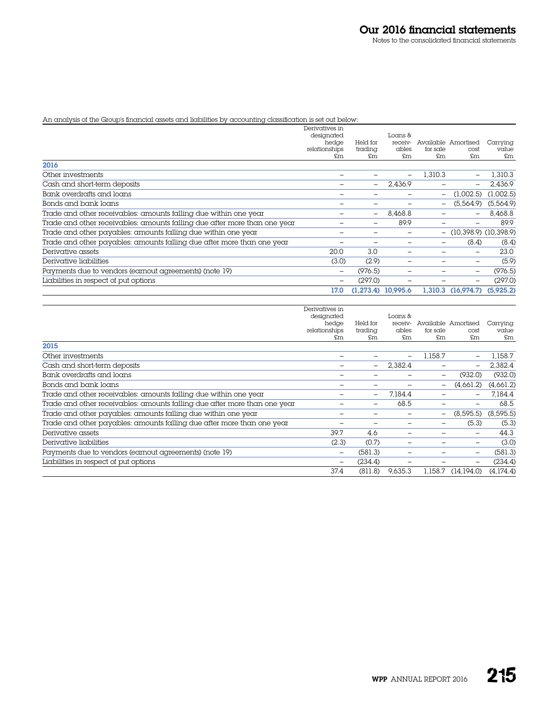# An analysis of the Group's financial assets and liabilities by accounting classification is set out below:

|                                                                           | Derivatives in<br>designated |                      | Loans & |          |                           |           |
|---------------------------------------------------------------------------|------------------------------|----------------------|---------|----------|---------------------------|-----------|
|                                                                           | hedge                        | Held for             | receiv- |          | Available Amortised       | Carrying  |
|                                                                           | relationships                | trading              | ables   | for sale | cost                      | value     |
|                                                                           | £m                           | £m                   | £m      | £m       | £m                        | £m        |
| 2016                                                                      |                              |                      |         |          |                           |           |
| Other investments                                                         |                              |                      |         | 1.310.3  |                           | 1,310.3   |
| Cash and short-term deposits                                              |                              | $\qquad \qquad -$    | 2.436.9 |          |                           | 2,436.9   |
| Bank overdrafts and loans                                                 |                              |                      |         | -        | (1.002.5)                 | (1.002.5) |
| Bonds and bank loans                                                      |                              |                      |         |          | (5.564.9)                 | (5,564.9) |
| Trade and other receivables: amounts falling due within one year          |                              | -                    | 8.468.8 |          | $\overline{\phantom{m}}$  | 8,468.8   |
| Trade and other receivables: amounts falling due after more than one year |                              | ۰                    | 89.9    |          |                           | 89.9      |
| Trade and other payables: amounts falling due within one year             |                              |                      | -       | Ξ.       | $(10,398.9)$ $(10,398.9)$ |           |
| Trade and other payables: amounts falling due after more than one year    |                              |                      |         | -        | (8.4)                     | (8.4)     |
| Derivative assets                                                         | 20.0                         | 3.0                  |         |          | $\overline{\phantom{a}}$  | 23.0      |
| Derivative liabilities                                                    | (3.0)                        | (2.9)                |         |          |                           | (5.9)     |
| Payments due to vendors (earnout agreements) (note 19)                    | -                            | (976.5)              |         |          | $\overline{\phantom{a}}$  | (976.5)   |
| Liabilities in respect of put options                                     |                              | (297.0)              |         |          |                           | (297.0)   |
|                                                                           | 17.0                         | $(1,273.4)$ 10,995.6 |         |          | 1,310.3 (16,974.7)        | (5,925.2) |

|                                                                           | Derivatives in           |                          |             |                |                          |             |
|---------------------------------------------------------------------------|--------------------------|--------------------------|-------------|----------------|--------------------------|-------------|
|                                                                           | designated               |                          | Loans &     |                |                          |             |
|                                                                           | hedge                    | Held for                 | receiv-     |                | Available Amortised      | Carrying    |
|                                                                           | relationships<br>£m      | trading<br>£m            | ables<br>£m | for sale<br>£m | cost<br>£m               | value<br>£m |
| 2015                                                                      |                          |                          |             |                |                          |             |
| Other investments                                                         |                          |                          |             | 1,158.7        | $\overline{\phantom{m}}$ | 1,158.7     |
| Cash and short-term deposits                                              |                          | $\overline{\phantom{0}}$ | 2.382.4     |                | $\overline{\phantom{a}}$ | 2,382.4     |
| Bank overdrafts and loans                                                 |                          |                          |             | -              | (932.0)                  | (932.0)     |
| Bonds and bank loans                                                      |                          |                          |             | -              | (4,661.2)                | (4,661.2)   |
| Trade and other receivables: amounts falling due within one year          |                          | -                        | 7.184.4     |                | $\overline{\phantom{a}}$ | 7,184.4     |
| Trade and other receivables: amounts falling due after more than one year |                          | -                        | 68.5        |                |                          | 68.5        |
| Trade and other payables: amounts falling due within one year             |                          |                          |             | -              | (8,595.5)                | (8, 595.5)  |
| Trade and other payables: amounts falling due after more than one year    |                          |                          |             |                | (5.3)                    | (5.3)       |
| Derivative assets                                                         | 39.7                     | 4.6                      |             |                |                          | 44.3        |
| Derivative liabilities                                                    | (2.3)                    | (0.7)                    |             |                |                          | (3.0)       |
| Payments due to vendors (earnout agreements) (note 19)                    | $\overline{\phantom{0}}$ | (581.3)                  |             |                | $\overline{\phantom{0}}$ | (581.3)     |
| Liabilities in respect of put options                                     | $\overline{\phantom{0}}$ | (234.4)                  |             |                |                          | (234.4)     |
|                                                                           | 37.4                     | (811.8)                  | 9.635.3     | 1.158.7        | (14.194.0)               | (4.174.4)   |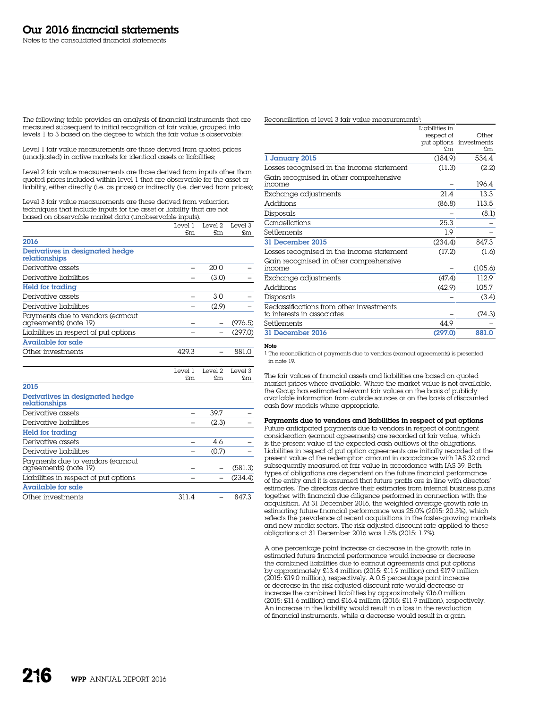The following table provides an analysis of financial instruments that are measured subsequent to initial recognition at fair value, grouped into levels 1 to 3 based on the degree to which the fair value is observable:

Level 1 fair value measurements are those derived from quoted prices (unadjusted) in active markets for identical assets or liabilities;

Level 2 fair value measurements are those derived from inputs other than quoted prices included within level 1 that are observable for the asset or liability, either directly (i.e. as prices) or indirectly (i.e. derived from prices);

Level 3 fair value measurements are those derived from valuation techniques that include inputs for the asset or liability that are not based on observable market data (unobservable inputs).

|                                                           | Level 1 | Level 2 | Level 3 |
|-----------------------------------------------------------|---------|---------|---------|
|                                                           | £m      | £m      | £m      |
| 2016                                                      |         |         |         |
| Derivatives in designated hedge<br>relationships          |         |         |         |
| Derivative assets                                         |         | 20.0    |         |
| Derivative liabilities                                    |         | (3.0)   |         |
| Held for trading                                          |         |         |         |
| Derivative assets                                         |         | 3.0     |         |
| Derivative liabilities                                    |         | (2.9)   |         |
| Payments due to vendors (earnout<br>agreements) (note 19) |         |         | (976.5) |
| Liabilities in respect of put options                     |         |         | (297.0) |
| Available for sale                                        |         |         |         |
| Other investments                                         | 429.3   |         | 881.0   |
|                                                           |         |         |         |

|                                                           | Level 1 | Level 2 | Level 3 |
|-----------------------------------------------------------|---------|---------|---------|
|                                                           | £m      | £m      | £m.     |
| 2015                                                      |         |         |         |
| Derivatives in designated hedge<br>relationships          |         |         |         |
| Derivative assets                                         |         | 39.7    |         |
| Derivative liabilities                                    |         | (2.3)   |         |
| Held for trading                                          |         |         |         |
| Derivative assets                                         |         | 46      |         |
| Derivative liabilities                                    |         | (0.7)   |         |
| Payments due to vendors (earnout<br>agreements) (note 19) |         |         | (581.3) |
| Liabilities in respect of put options                     |         |         | (234.4) |
| Available for sale                                        |         |         |         |
| Other investments                                         | 311.4   |         | 847.3   |

Reconciliation of level 3 fair value measurements<sup>1</sup>:

|                                                                        | Liabilities in |                         |
|------------------------------------------------------------------------|----------------|-------------------------|
|                                                                        | respect of     | Other                   |
|                                                                        |                | put options investments |
|                                                                        | £m             | £m.                     |
| 1 January 2015                                                         | (184.9)        | 534.4                   |
| Losses recognised in the income statement                              | (11.3)         | (2.2)                   |
| Gain recognised in other comprehensive<br>income                       |                | 196.4                   |
| Exchange adjustments                                                   | 21.4           | 13.3                    |
| <b>Additions</b>                                                       | (86.8)         | 113.5                   |
| Disposals                                                              |                | (8.1)                   |
| Cancellations                                                          | 25.3           |                         |
| Settlements                                                            | 1.9            |                         |
| 31 December 2015                                                       | (234.4)        | 847.3                   |
| Losses recognised in the income statement                              | (17.2)         | (1.6)                   |
| Gain recognised in other comprehensive                                 |                |                         |
| income                                                                 |                | (105.6)                 |
| Exchange adjustments                                                   | (47.4)         | 112.9                   |
| <b>Additions</b>                                                       | (42.9)         | 105.7                   |
| Disposals                                                              |                | (3.4)                   |
| Reclassifications from other investments<br>to interests in associates |                | (74.3)                  |
| Settlements                                                            | 44.9           |                         |
| 31 December 2016                                                       | (297.0)        | 881.0                   |

# Note

1 The reconciliation of payments due to vendors (earnout agreements) is presented in note 19.

The fair values of financial assets and liabilities are based on quoted market prices where available. Where the market value is not available, the Group has estimated relevant fair values on the basis of publicly available information from outside sources or on the basis of discounted cash flow models where appropriate.

Payments due to vendors and liabilities in respect of put options Future anticipated payments due to vendors in respect of contingent consideration (earnout agreements) are recorded at fair value, which is the present value of the expected cash outflows of the obligations. Liabilities in respect of put option agreements are initially recorded at the present value of the redemption amount in accordance with IAS 32 and subsequently measured at fair value in accordance with IAS 39. Both types of obligations are dependent on the future financial performance of the entity and it is assumed that future profits are in line with directors' estimates. The directors derive their estimates from internal business plans together with financial due diligence performed in connection with the acquisition. At 31 December 2016, the weighted average growth rate in estimating future financial performance was 25.0% (2015: 20.3%), which reflects the prevalence of recent acquisitions in the faster-growing markets and new media sectors. The risk adjusted discount rate applied to these obligations at 31 December 2016 was 1.5% (2015: 1.7%).

A one percentage point increase or decrease in the growth rate in estimated future financial performance would increase or decrease the combined liabilities due to earnout agreements and put options by approximately £13.4 million (2015: £11.9 million) and £17.9 million (2015: £19.0 million), respectively. A 0.5 percentage point increase or decrease in the risk adjusted discount rate would decrease or increase the combined liabilities by approximately £16.0 million (2015: £11.6 million) and £16.4 million (2015: £11.9 million), respectively. An increase in the liability would result in  $\alpha$  loss in the revaluation of financial instruments, while a decrease would result in a gain.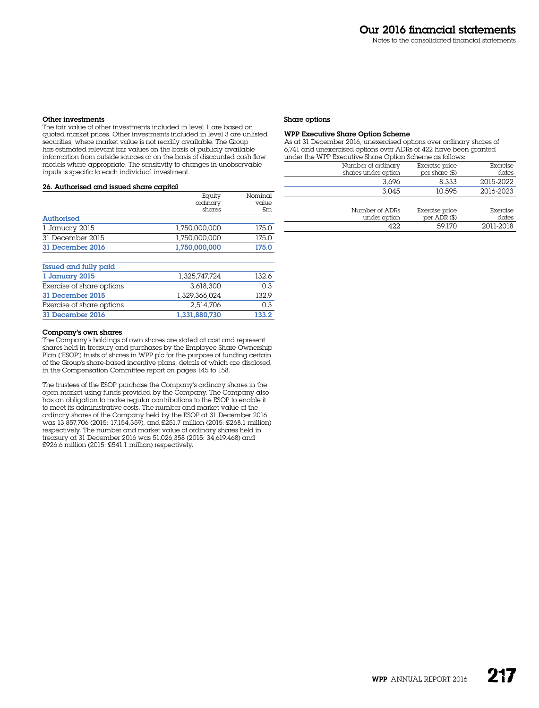#### Other investments

The fair value of other investments included in level 1 are based on quoted market prices. Other investments included in level 3 are unlisted securities, where market value is not readily available. The Group has estimated relevant fair values on the basis of publicly available information from outside sources or on the basis of discounted cash flow models where appropriate. The sensitivity to changes in unobservable inputs is specific to each individual investment.

# 26. Authorised and issued share capital

|                           | Equity        | Nominal |
|---------------------------|---------------|---------|
|                           | ordinary      | value   |
|                           | shares        | £m      |
| <b>Authorised</b>         |               |         |
| 1 January 2015            | 1.750.000.000 | 175.0   |
| 31 December 2015          | 1.750.000.000 | 175.0   |
| 31 December 2016          | 1,750,000,000 | 175.0   |
| Issued and fully paid     |               |         |
| 1 January 2015            | 1.325.747.724 | 132.6   |
| Exercise of share options | 3.618.300     | 0.3     |
| 31 December 2015          | 1.329.366.024 | 132.9   |
| Exercise of share options | 2.514.706     | 0.3     |
| 31 December 2016          | 1.331.880.730 | 133.2   |

#### Company's own shares

The Company's holdings of own shares are stated at cost and represent shares held in treasury and purchases by the Employee Share Ownership Plan ('ESOP') trusts of shares in WPP plc for the purpose of funding certain of the Group's share-based incentive plans, details of which are disclosed in the Compensation Committee report on pages 145 to 158.

The trustees of the ESOP purchase the Company's ordinary shares in the open market using funds provided by the Company. The Company also has an obligation to make regular contributions to the ESOP to enable it to meet its administrative costs. The number and market value of the ordinary shares of the Company held by the ESOP at 31 December 2016 was 13,857,706 (2015: 17,154,359), and £251.7 million (2015: £268.1 million) respectively. The number and market value of ordinary shares held in treasury at 31 December 2016 was 51,026,358 (2015: 34,619,468) and £926.6 million (2015: £541.1 million) respectively.

#### Share options

# WPP Executive Share Option Scheme

As at 31 December 2016, unexercised options over ordinary shares of 6,741 and unexercised options over ADRs of 422 have been granted under the WPP Executive Share Option Scheme as follows:

| Number of ordinary<br>shares under option | Exercise price<br>per share (£) | Exercise<br>dates |
|-------------------------------------------|---------------------------------|-------------------|
| 3.696                                     | 8.333                           | 2015-2022         |
| 3.045                                     | 10.595                          | 2016-2023         |
|                                           |                                 |                   |

| Exercise price   | Exercise  |
|------------------|-----------|
| per $ADR$ $(\$)$ | dates     |
| 59.170           | 2011-2018 |
|                  |           |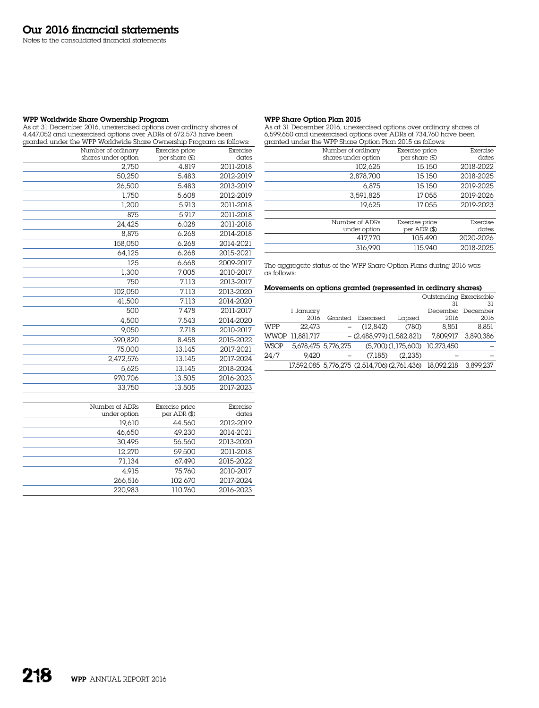Notes to the consolidated financial statements

# WPP Worldwide Share Ownership Program

As at 31 December 2016, unexercised options over ordinary shares of 4,447,052 and unexercised options over ADRs of 672,573 have been granted under the WPP Worldwide Share Ownership Program as follows:

| granda anadi ind wit womawidd shard Owndiship i rogram as rollows. |                     |                |           |
|--------------------------------------------------------------------|---------------------|----------------|-----------|
|                                                                    | Number of ordinary  | Exercise price | Exercise  |
|                                                                    | shares under option | per share (£)  | dates     |
|                                                                    | 2,750               | 4.819          | 2011-2018 |
|                                                                    | 50,250              | 5.483          | 2012-2019 |
|                                                                    | 26,500              | 5.483          | 2013-2019 |
|                                                                    | 1,750               | 5.608          | 2012-2019 |
|                                                                    | 1,200               | 5.913          | 2011-2018 |
|                                                                    | 875                 | 5.917          | 2011-2018 |
|                                                                    | 24,425              | 6.028          | 2011-2018 |
|                                                                    | 8.875               | 6.268          | 2014-2018 |
|                                                                    | 158,050             | 6.268          | 2014-2021 |
|                                                                    | 64,125              | 6.268          | 2015-2021 |
|                                                                    | 125                 | 6.668          | 2009-2017 |
|                                                                    | 1,300               | 7.005          | 2010-2017 |
|                                                                    | 750                 | 7.113          | 2013-2017 |
|                                                                    | 102,050             | 7.113          | 2013-2020 |
|                                                                    | 41,500              | 7.113          | 2014-2020 |
|                                                                    | 500                 | 7.478          | 2011-2017 |
|                                                                    | 4,500               | 7.543          | 2014-2020 |
|                                                                    | 9,050               | 7.718          | 2010-2017 |
|                                                                    | 390,820             | 8.458          | 2015-2022 |
|                                                                    | 75,000              | 13.145         | 2017-2021 |
|                                                                    | 2,472,576           | 13.145         | 2017-2024 |
|                                                                    | 5,625               | 13.145         | 2018-2024 |
|                                                                    | 970,706             | 13.505         | 2016-2023 |
|                                                                    | 33,750              | 13.505         | 2017-2023 |

| Number of ADRs | Exercise price | Exercise  |
|----------------|----------------|-----------|
| under option   | per ADR (\$)   | dates     |
| 19.610         | 44.560         | 2012-2019 |
| 46.650         | 49.230         | 2014-2021 |
| 30.495         | 56.560         | 2013-2020 |
| 12.270         | 59.500         | 2011-2018 |
| 71.134         | 67.490         | 2015-2022 |
| 4.915          | 75.760         | 2010-2017 |
| 266.516        | 102.670        | 2017-2024 |
| 220,983        | 110.760        | 2016-2023 |

# WPP Share Option Plan 2015

As at 31 December 2016, unexercised options over ordinary shares of 6,599,650 and unexercised options over ADRs of 734,760 have been granted under the WPP Share Option Plan 2015 as follows:

| granted and the $\cdots$ share option ran Boro as renown |                                 |                   |
|----------------------------------------------------------|---------------------------------|-------------------|
| Number of ordinary<br>shares under option                | Exercise price<br>per share (£) | Exercise<br>dates |
| 102,625                                                  | 15.150                          | 2018-2022         |
| 2.878.700                                                | 15.150                          | 2018-2025         |
| 6.875                                                    | 15.150                          | 2019-2025         |
| 3.591.825                                                | 17.055                          | 2019-2026         |
| 19.625                                                   | 17.055                          | 2019-2023         |
|                                                          |                                 |                   |
| Number of ADRs                                           | Exercise price                  | Exercise          |
| under option                                             | per $ADR$ $(\$)$                | dates             |
| 417.770                                                  | 105.490                         | 2020-2026         |
| 316,990                                                  | 115.940                         | 2018-2025         |
|                                                          |                                 |                   |

The aggregate status of the WPP Share Option Plans during 2016 was as follows:

#### Movements on options granted (represented in ordinary shares)

| Outstanding Exercisable |                 |                     |                                              |                    |            |           |
|-------------------------|-----------------|---------------------|----------------------------------------------|--------------------|------------|-----------|
|                         |                 |                     |                                              |                    | 31         | 31        |
|                         | 1 January       |                     |                                              |                    | December   | December  |
|                         | 2016            | Granted             | Exercised                                    | Lapsed             | 2016       | 2016      |
| WPP                     | 22.473          |                     | (12.842)                                     | (780)              | 8.851      | 8.851     |
|                         | WWOP 11.881.717 |                     | $-$ (2.488.979) (1.582.821)                  |                    | 7.809.917  | 3.890.386 |
| <b>WSOP</b>             |                 | 5.678.475 5.776.275 |                                              | (5,700)(1,175,600) | 10,273,450 |           |
| 24/7                    | 9.420           |                     | (7.185)                                      | (2.235)            |            |           |
|                         |                 |                     | 17,592,085 5,776,275 (2,514,706) (2,761,436) |                    | 18.092.218 | 3.899.237 |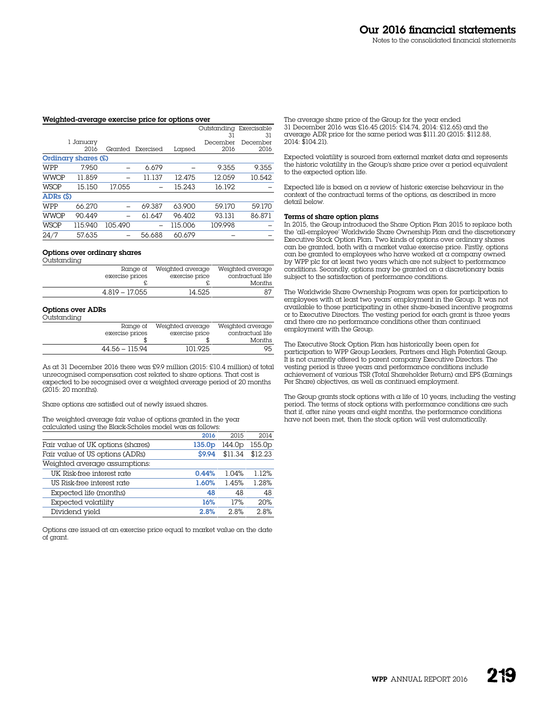#### Weighted-average exercise price for options over

|             |                     |         |           |         | Outstanding | Exercisable |
|-------------|---------------------|---------|-----------|---------|-------------|-------------|
|             |                     |         |           |         | 31          | 31          |
|             | 1 January           |         |           |         | December    | December    |
|             | 2016                | Granted | Exercised | Lapsed  | 2016        | 2016        |
|             | Ordinary shares (£) |         |           |         |             |             |
| WPP         | 7.950               |         | 6.679     |         | 9.355       | 9.355       |
| <b>WWOP</b> | 11.859              |         | 11.137    | 12.475  | 12.059      | 10.542      |
| <b>WSOP</b> | 15.150              | 17.055  |           | 15.243  | 16.192      |             |
| ADRs (\$)   |                     |         |           |         |             |             |
| WPP         | 66.270              |         | 69.387    | 63.900  | 59.170      | 59.170      |
| <b>WWOP</b> | 90.449              |         | 61.647    | 96.402  | 93.131      | 86.871      |
| <b>WSOP</b> | 115.940             | 105.490 |           | 115.006 | 109.998     |             |
| 24/7        | 57.635              |         | 56.688    | 60.679  |             |             |

#### Options over ordinary shares

| Outstanding |                  |                  |                  |
|-------------|------------------|------------------|------------------|
|             | Range of         | Weighted average | Weighted average |
|             | exercise prices  | exercise price   | contractual life |
|             |                  |                  | <b>Months</b>    |
|             | $4.819 - 17.055$ | 14.525           |                  |

# Options over ADRs

| Outstanding |                             |                                    |                                      |
|-------------|-----------------------------|------------------------------------|--------------------------------------|
|             | Range of<br>exercise prices | Weighted average<br>exercise price | Weighted average<br>contractual life |
|             |                             |                                    | Months                               |
|             | 44.56 - 115.94              | 101.925                            | 95                                   |

As at 31 December 2016 there was £9.9 million (2015: £10.4 million) of total unrecognised compensation cost related to share options. That cost is expected to be recognised over a weighted average period of 20 months (2015: 20 months).

Share options are satisfied out of newly issued shares.

The weighted average fair value of options granted in the year calculated using the Black-Scholes model was as follows:

|                                   | 2016               | 2015    | 2014               |
|-----------------------------------|--------------------|---------|--------------------|
| Fair value of UK options (shares) | 135.0 <sub>D</sub> | 144.0p  | 155.0 <sub>p</sub> |
| Fair value of US options (ADRs)   | \$9.94             | \$11.34 | \$12.23            |
| Weighted average assumptions:     |                    |         |                    |
| UK Risk-free interest rate        | 0.44%              | 1.04%   | 1.12%              |
| US Risk-free interest rate        | 1.60%              | 1.45%   | 1.28%              |
| Expected life (months)            | 48                 | 48      | 48                 |
| Expected volatility               | 16%                | 17%     | 20%                |
| Dividend yield                    | 2.8%               | 2.8%    | 2.8%               |

Options are issued at an exercise price equal to market value on the date of grant.

The average share price of the Group for the year ended 31 December 2016 was £16.45 (2015: £14.74, 2014: £12.65) and the average ADR price for the same period was \$111.20 (2015: \$112.88, 2014: \$104.21).

Expected volatility is sourced from external market data and represents the historic volatility in the Group's share price over a period equivalent to the expected option life.

Expected life is based on a review of historic exercise behaviour in the context of the contractual terms of the options, as described in more detail below.

#### Terms of share option plans

In 2015, the Group introduced the Share Option Plan 2015 to replace both the 'all-employee' Worldwide Share Ownership Plan and the discretionary Executive Stock Option Plan. Two kinds of options over ordinary shares can be granted, both with a market value exercise price. Firstly, options can be granted to employees who have worked at a company owned by WPP plc for at least two years which are not subject to performance conditions. Secondly, options may be granted on a discretionary basis subject to the satisfaction of performance conditions.

The Worldwide Share Ownership Program was open for participation to employees with at least two years' employment in the Group. It was not available to those participating in other share-based incentive programs or to Executive Directors. The vesting period for each grant is three years and there are no performance conditions other than continued employment with the Group.

The Executive Stock Option Plan has historically been open for participation to WPP Group Leaders, Partners and High Potential Group. It is not currently offered to parent company Executive Directors. The vesting period is three years and performance conditions include achievement of various TSR (Total Shareholder Return) and EPS (Earnings Per Share) objectives, as well as continued employment.

The Group grants stock options with  $\alpha$  life of 10 years, including the vesting period. The terms of stock options with performance conditions are such that if, after nine years and eight months, the performance conditions have not been met, then the stock option will vest automatically.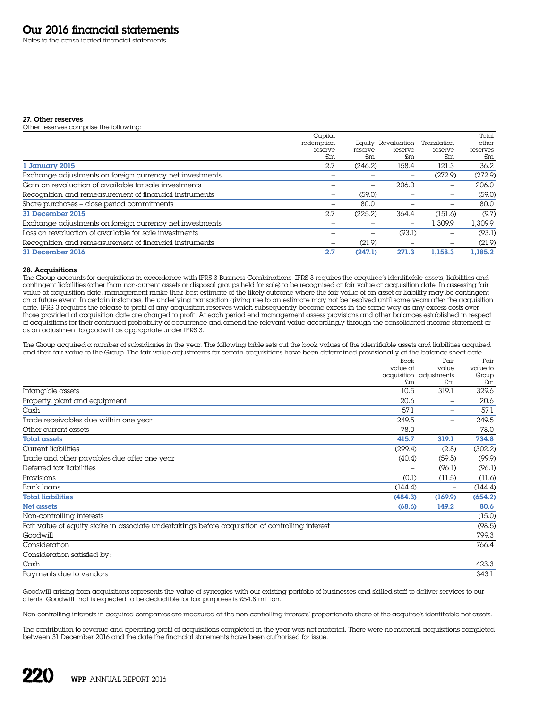Notes to the consolidated financial statements

#### 27. Other reserves

Other reserves comprise the following:

|                                                          | Capital    |                          |                          |             | Total    |
|----------------------------------------------------------|------------|--------------------------|--------------------------|-------------|----------|
|                                                          | redemption | Eauitv                   | Revaluation              | Translation | other    |
|                                                          | reserve    | reserve                  | reserve                  | reserve     | reserves |
|                                                          | £m         | £m                       | £m                       | £m          | £m       |
| 1 January 2015                                           | 2.7        | (246.2)                  | 158.4                    | 121.3       | 36.2     |
| Exchange adjustments on foreign currency net investments |            |                          | $\overline{\phantom{0}}$ | (272.9)     | (272.9)  |
| Gain on revaluation of available for sale investments    |            |                          | 206.0                    |             | 206.0    |
| Recognition and remeasurement of financial instruments   | -          | (59.0)                   |                          |             | (59.0)   |
| Share purchases - close period commitments               |            | 80.0                     |                          |             | 80.0     |
| 31 December 2015                                         | 2.7        | (225.2)                  | 364.4                    | (151.6)     | (9.7)    |
| Exchange adjustments on foreign currency net investments |            |                          | -                        | 1.309.9     | 1,309.9  |
| Loss on revaluation of available for sale investments    |            | $\overline{\phantom{0}}$ | (93.1)                   | -           | (93.1)   |
| Recognition and remeasurement of financial instruments   |            | (21.9)                   |                          |             | (21.9)   |
| 31 December 2016                                         | 2.7        | (247.1)                  | 271.3                    | 1.158.3     | 1.185.2  |

## 28. Acquisitions

The Group accounts for acquisitions in accordance with IFRS 3 Business Combinations. IFRS 3 requires the acquiree's identifiable assets, liabilities and contingent liabilities (other than non-current assets or disposal groups held for sale) to be recognised at fair value at acquisition date. In assessing fair value at acquisition date, management make their best estimate of the likely outcome where the fair value of an asset or liability may be contingent on a future event. In certain instances, the underlying transaction giving rise to an estimate may not be resolved until some years after the acquisition date. IFRS 3 requires the release to profit of any acquisition reserves which subsequently become excess in the same way as any excess costs over those provided at acquisition date are charged to profit. At each period end management assess provisions and other balances established in respect of acquisitions for their continued probability of occurrence and amend the relevant value accordingly through the consolidated income statement or as an adjustment to goodwill as appropriate under IFRS 3.

The Group acquired a number of subsidiaries in the year. The following table sets out the book values of the identifiable assets and liabilities acquired and their fair value to the Group. The fair value adjustments for certain acquisitions have been determined provisionally at the balance sheet date.

|                                                                                                 | <b>Book</b> | Fair                    | Fair     |
|-------------------------------------------------------------------------------------------------|-------------|-------------------------|----------|
|                                                                                                 | value at    | value                   | value to |
|                                                                                                 |             | acquisition adjustments | Group    |
|                                                                                                 | £m          | £m                      | £m       |
| Intangible assets                                                                               | 10.5        | 319.1                   | 329.6    |
| Property, plant and equipment                                                                   | 20.6        |                         | 20.6     |
| Cash                                                                                            | 57.1        |                         | 57.1     |
| Trade receivables due within one year                                                           | 249.5       | $\qquad \qquad -$       | 249.5    |
| Other current assets                                                                            | 78.0        | $\qquad \qquad -$       | 78.0     |
| <b>Total assets</b>                                                                             | 415.7       | 319.1                   | 734.8    |
| Current liabilities                                                                             | (299.4)     | (2.8)                   | (302.2)  |
| Trade and other payables due after one year                                                     | (40.4)      | (59.5)                  | (99.9)   |
| Deferred tax liabilities                                                                        |             | (96.1)                  | (96.1)   |
| Provisions                                                                                      | (0.1)       | (11.5)                  | (11.6)   |
| Bank loans                                                                                      | (144.4)     | -                       | (144.4)  |
| <b>Total liabilities</b>                                                                        | (484.3)     | (169.9)                 | (654.2)  |
| Net assets                                                                                      | (68.6)      | 149.2                   | 80.6     |
| Non-controlling interests                                                                       |             |                         | (15.0)   |
| Fair value of equity stake in associate undertakings before acquisition of controlling interest |             |                         | (98.5)   |
| Goodwill                                                                                        |             |                         | 799.3    |
| Consideration                                                                                   |             |                         | 766.4    |
| Consideration satisfied by:                                                                     |             |                         |          |
| Cash                                                                                            |             |                         | 423.3    |
| Payments due to vendors                                                                         |             |                         | 343.1    |

Goodwill arising from acquisitions represents the value of synergies with our existing portfolio of businesses and skilled staff to deliver services to our clients. Goodwill that is expected to be deductible for tax purposes is £54.8 million.

Non-controlling interests in acquired companies are measured at the non-controlling interests' proportionate share of the acquiree's identifiable net assets.

The contribution to revenue and operating profit of acquisitions completed in the year was not material. There were no material acquisitions completed between 31 December 2016 and the date the financial statements have been authorised for issue.